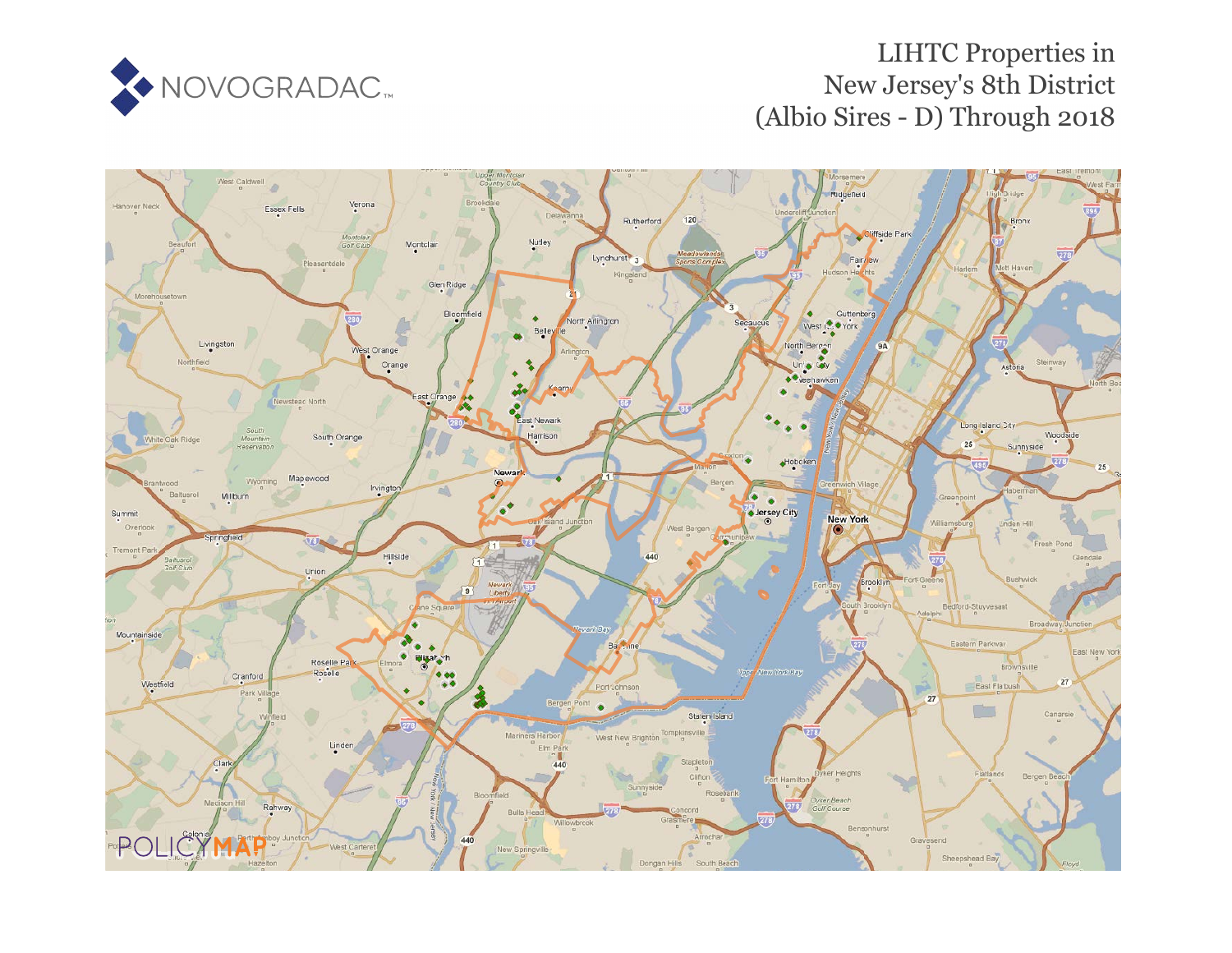

# LIHTC Properties in New Jersey's 8th District (Albio Sires - D) Through 2018

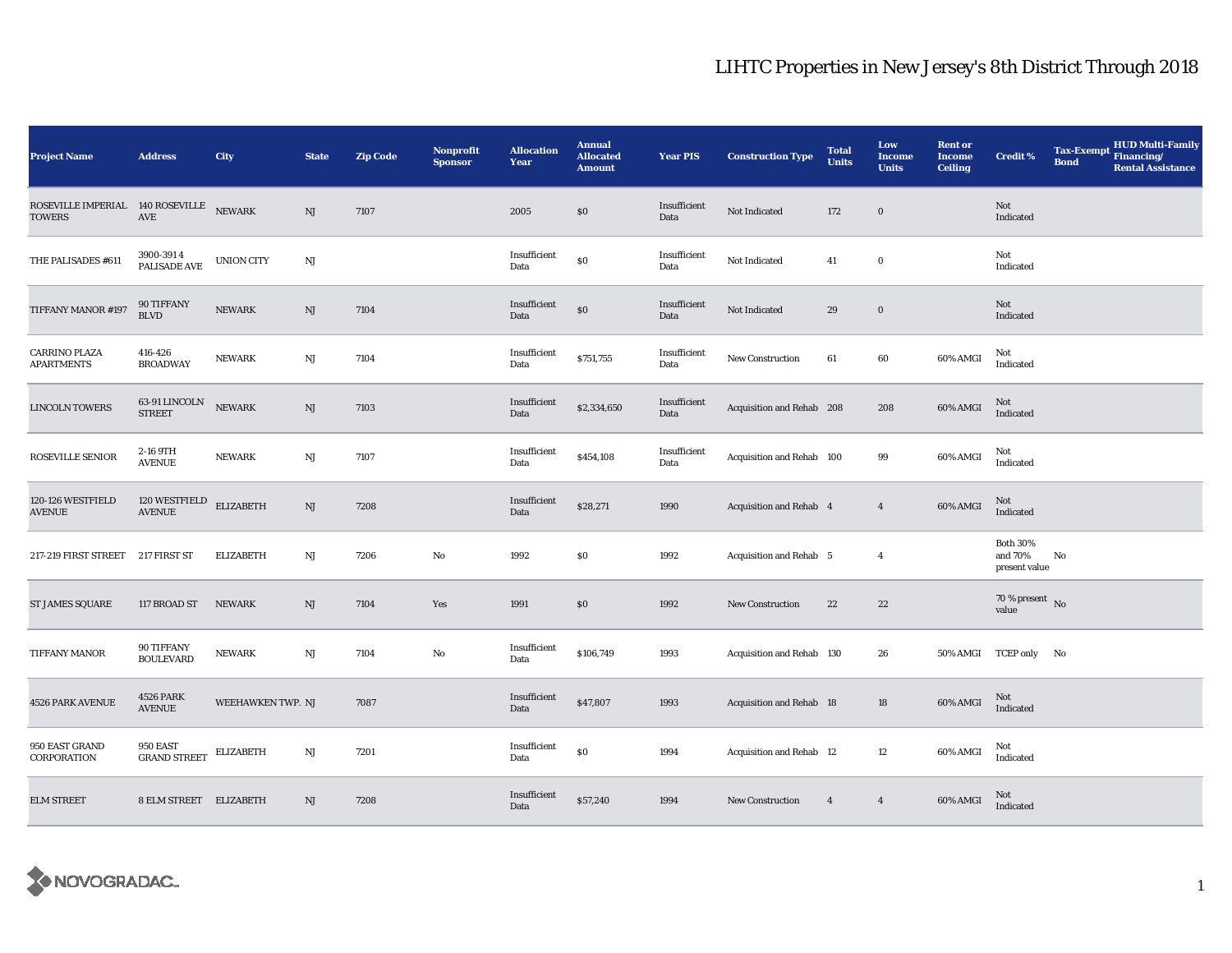| <b>Project Name</b>                                      | <b>Address</b>                    | City              | <b>State</b>           | <b>Zip Code</b> | Nonprofit<br><b>Sponsor</b> | <b>Allocation</b><br>Year | <b>Annual</b><br><b>Allocated</b><br><b>Amount</b> | <b>Year PIS</b>      | <b>Construction Type</b>        | <b>Total</b><br><b>Units</b> | Low<br><b>Income</b><br><b>Units</b> | <b>Rent or</b><br><b>Income</b><br><b>Ceiling</b> | Credit %                                    | <b>Tax-Exempt</b><br><b>Bond</b> | <b>HUD Multi-Family</b><br>Financing/<br><b>Rental Assistance</b> |
|----------------------------------------------------------|-----------------------------------|-------------------|------------------------|-----------------|-----------------------------|---------------------------|----------------------------------------------------|----------------------|---------------------------------|------------------------------|--------------------------------------|---------------------------------------------------|---------------------------------------------|----------------------------------|-------------------------------------------------------------------|
| ROSEVILLE IMPERIAL 140 ROSEVILLE NEWARK<br><b>TOWERS</b> | $\operatorname{AVE}$              |                   | $\rm{NJ}$              | 7107            |                             | 2005                      | \$0                                                | Insufficient<br>Data | Not Indicated                   | 172                          | $\bf{0}$                             |                                                   | Not<br>Indicated                            |                                  |                                                                   |
| THE PALISADES #611                                       | 3900-3914<br>PALISADE AVE         | <b>UNION CITY</b> | NJ                     |                 |                             | Insufficient<br>Data      | \$0                                                | Insufficient<br>Data | Not Indicated                   | 41                           | $\bf{0}$                             |                                                   | Not<br>Indicated                            |                                  |                                                                   |
| TIFFANY MANOR #197                                       | 90 TIFFANY<br>BLVD                | <b>NEWARK</b>     | $\rm{NJ}$              | 7104            |                             | Insufficient<br>Data      | $\$0$                                              | Insufficient<br>Data | Not Indicated                   | 29                           | $\bf{0}$                             |                                                   | Not<br>Indicated                            |                                  |                                                                   |
| <b>CARRINO PLAZA</b><br><b>APARTMENTS</b>                | 416-426<br><b>BROADWAY</b>        | <b>NEWARK</b>     | NJ                     | 7104            |                             | Insufficient<br>Data      | \$751,755                                          | Insufficient<br>Data | New Construction                | 61                           | 60                                   | 60% AMGI                                          | Not<br>Indicated                            |                                  |                                                                   |
| <b>LINCOLN TOWERS</b>                                    | 63-91 LINCOLN<br><b>STREET</b>    | <b>NEWARK</b>     | NJ                     | 7103            |                             | Insufficient<br>Data      | \$2,334,650                                        | Insufficient<br>Data | Acquisition and Rehab 208       |                              | 208                                  | 60% AMGI                                          | Not<br>Indicated                            |                                  |                                                                   |
| ROSEVILLE SENIOR                                         | 2-16 9TH<br><b>AVENUE</b>         | <b>NEWARK</b>     | NJ                     | 7107            |                             | Insufficient<br>Data      | \$454,108                                          | Insufficient<br>Data | Acquisition and Rehab 100       |                              | 99                                   | 60% AMGI                                          | Not<br>Indicated                            |                                  |                                                                   |
| 120-126 WESTFIELD<br>AVENUE                              | 120 WESTFIELD<br><b>AVENUE</b>    | <b>ELIZABETH</b>  | NJ                     | 7208            |                             | Insufficient<br>Data      | \$28,271                                           | 1990                 | Acquisition and Rehab 4         |                              | $\overline{4}$                       | 60% AMGI                                          | Not<br>Indicated                            |                                  |                                                                   |
| 217-219 FIRST STREET                                     | 217 FIRST ST                      | <b>ELIZABETH</b>  | $\mathbf{N}\mathbf{J}$ | 7206            | $\rm No$                    | 1992                      | \$0                                                | 1992                 | Acquisition and Rehab 5         |                              | $\overline{4}$                       |                                                   | <b>Both 30%</b><br>and 70%<br>present value | No                               |                                                                   |
| <b>ST JAMES SQUARE</b>                                   | 117 BROAD ST                      | <b>NEWARK</b>     | NJ                     | 7104            | Yes                         | 1991                      | $\$0$                                              | 1992                 | New Construction                | 22                           | 22                                   |                                                   | $70\,\%$ present $\,$ No value              |                                  |                                                                   |
| TIFFANY MANOR                                            | 90 TIFFANY<br><b>BOULEVARD</b>    | <b>NEWARK</b>     | $\mathbf{N}\mathbf{J}$ | 7104            | No                          | Insufficient<br>Data      | \$106,749                                          | 1993                 | Acquisition and Rehab 130       |                              | 26                                   | 50% AMGI                                          | TCEP only No                                |                                  |                                                                   |
| 4526 PARK AVENUE                                         | <b>4526 PARK</b><br><b>AVENUE</b> | WEEHAWKEN TWP. NJ |                        | 7087            |                             | Insufficient<br>Data      | \$47,807                                           | 1993                 | Acquisition and Rehab 18        |                              | 18                                   | 60% AMGI                                          | Not<br>Indicated                            |                                  |                                                                   |
| 950 EAST GRAND<br>CORPORATION                            | 950 EAST<br><b>GRAND STREET</b>   | <b>ELIZABETH</b>  | $\mathbf{N}\mathbf{J}$ | 7201            |                             | Insufficient<br>Data      | \$0                                                | 1994                 | <b>Acquisition and Rehab 12</b> |                              | 12                                   | 60% AMGI                                          | Not<br>Indicated                            |                                  |                                                                   |
| <b>ELM STREET</b>                                        | 8 ELM STREET ELIZABETH            |                   | NJ                     | 7208            |                             | Insufficient<br>Data      | \$57,240                                           | 1994                 | New Construction                | $\overline{4}$               | $\overline{4}$                       | 60% AMGI                                          | Not<br>Indicated                            |                                  |                                                                   |

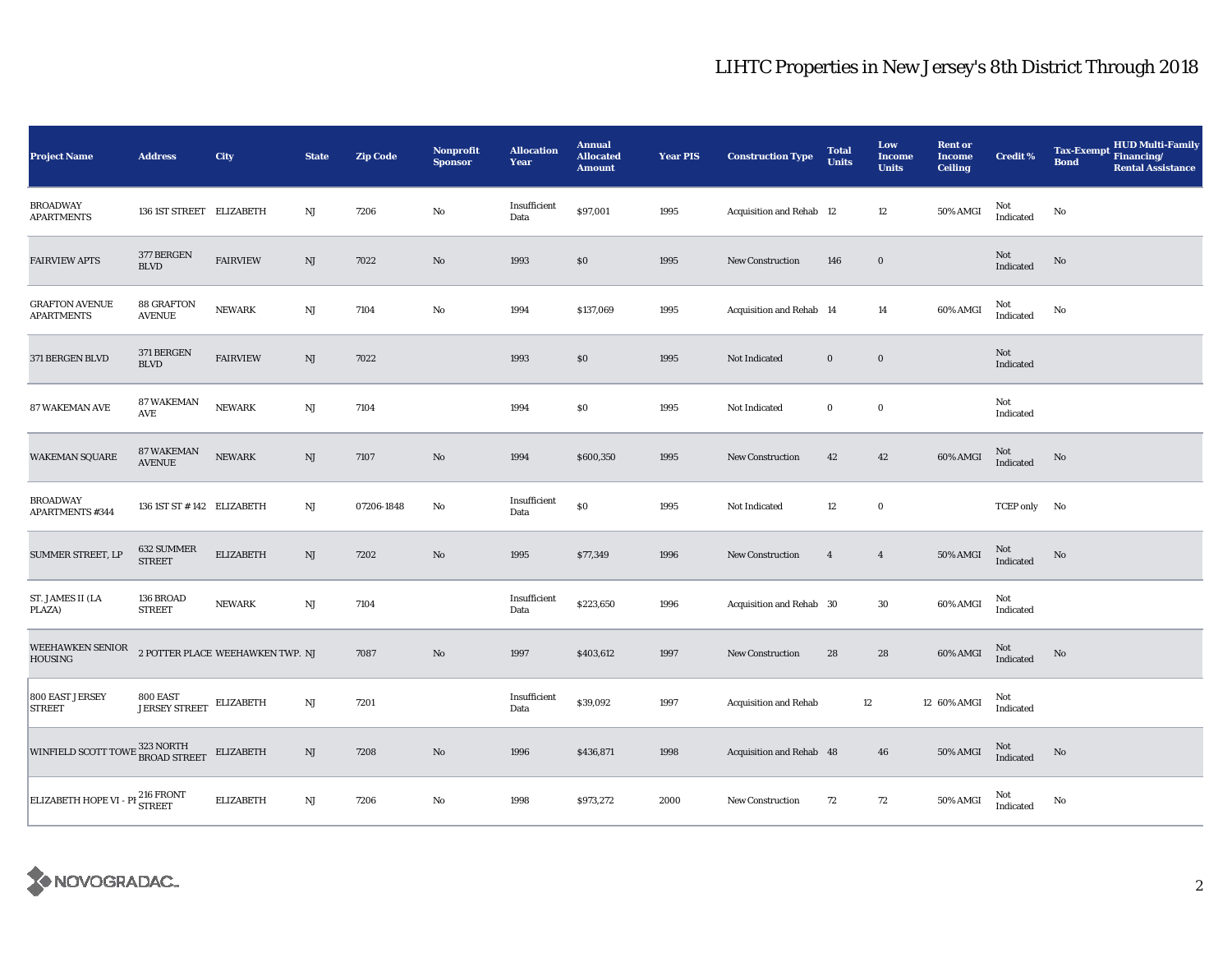| <b>Project Name</b>                         | <b>Address</b>                      | City                             | <b>State</b>           | <b>Zip Code</b> | Nonprofit<br><b>Sponsor</b> | <b>Allocation</b><br>Year | <b>Annual</b><br><b>Allocated</b><br><b>Amount</b> | <b>Year PIS</b> | <b>Construction Type</b>     | <b>Total</b><br><b>Units</b> | Low<br><b>Income</b><br><b>Units</b> | <b>Rent or</b><br><b>Income</b><br><b>Ceiling</b> | <b>Credit %</b>  | <b>HUD Multi-Family</b><br><b>Tax-Exempt</b><br>Financing/<br><b>Bond</b><br><b>Rental Assistance</b> |
|---------------------------------------------|-------------------------------------|----------------------------------|------------------------|-----------------|-----------------------------|---------------------------|----------------------------------------------------|-----------------|------------------------------|------------------------------|--------------------------------------|---------------------------------------------------|------------------|-------------------------------------------------------------------------------------------------------|
| <b>BROADWAY</b><br><b>APARTMENTS</b>        | 136 IST STREET ELIZABETH            |                                  | NJ                     | 7206            | No                          | Insufficient<br>Data      | \$97,001                                           | 1995            | Acquisition and Rehab 12     |                              | $12\,$                               | 50% AMGI                                          | Not<br>Indicated | No                                                                                                    |
| <b>FAIRVIEW APTS</b>                        | 377 BERGEN<br>$\operatorname{BLVD}$ | <b>FAIRVIEW</b>                  | NJ                     | 7022            | $\mathbf{No}$               | 1993                      | \$0                                                | 1995            | <b>New Construction</b>      | 146                          | $\mathbf 0$                          |                                                   | Not<br>Indicated | $\rm No$                                                                                              |
| <b>GRAFTON AVENUE</b><br><b>APARTMENTS</b>  | 88 GRAFTON<br><b>AVENUE</b>         | <b>NEWARK</b>                    | NJ                     | 7104            | $\mathbf{No}$               | 1994                      | \$137,069                                          | 1995            | Acquisition and Rehab 14     |                              | 14                                   | 60% AMGI                                          | Not<br>Indicated | No                                                                                                    |
| 371 BERGEN BLVD                             | 371 BERGEN<br><b>BLVD</b>           | <b>FAIRVIEW</b>                  | NJ                     | 7022            |                             | 1993                      | \$0                                                | 1995            | Not Indicated                | $\mathbf 0$                  | $\mathbf 0$                          |                                                   | Not<br>Indicated |                                                                                                       |
| 87 WAKEMAN AVE                              | <b>87 WAKEMAN</b><br>AVE            | <b>NEWARK</b>                    | $\rm{NJ}$              | 7104            |                             | 1994                      | \$0                                                | 1995            | Not Indicated                | $\bf{0}$                     | $\mathbf 0$                          |                                                   | Not<br>Indicated |                                                                                                       |
| <b>WAKEMAN SQUARE</b>                       | <b>87 WAKEMAN</b><br><b>AVENUE</b>  | <b>NEWARK</b>                    | NJ                     | 7107            | No                          | 1994                      | \$600,350                                          | 1995            | <b>New Construction</b>      | 42                           | 42                                   | 60% AMGI                                          | Not<br>Indicated | No                                                                                                    |
| <b>BROADWAY</b><br><b>APARTMENTS #344</b>   | 136 1ST ST #142 ELIZABETH           |                                  | $\rm{NJ}$              | 07206-1848      | No                          | Insufficient<br>Data      | \$0                                                | 1995            | Not Indicated                | 12                           | $\mathbf 0$                          |                                                   | TCEP only No     |                                                                                                       |
| SUMMER STREET, LP                           | 632 SUMMER<br><b>STREET</b>         | <b>ELIZABETH</b>                 | $\mathbf{N}\mathbf{J}$ | 7202            | $\rm No$                    | 1995                      | \$77,349                                           | 1996            | <b>New Construction</b>      | $\overline{4}$               | $\overline{4}$                       | <b>50% AMGI</b>                                   | Not<br>Indicated | No                                                                                                    |
| ST. JAMES II (LA<br>PLAZA)                  | 136 BROAD<br><b>STREET</b>          | <b>NEWARK</b>                    | $\rm{NJ}$              | 7104            |                             | Insufficient<br>Data      | \$223,650                                          | 1996            | Acquisition and Rehab 30     |                              | 30                                   | 60% AMGI                                          | Not<br>Indicated |                                                                                                       |
| WEEHAWKEN SENIOR<br>HOUSING                 |                                     | 2 POTTER PLACE WEEHAWKEN TWP. NJ |                        | 7087            | $\rm No$                    | 1997                      | \$403,612                                          | 1997            | New Construction             | 28                           | 28                                   | 60% AMGI                                          | Not<br>Indicated | No                                                                                                    |
| 800 EAST JERSEY<br>STREET                   | 800 EAST<br><b>JERSEY STREET</b>    | <b>ELIZABETH</b>                 | NJ                     | 7201            |                             | Insufficient<br>Data      | \$39,092                                           | 1997            | <b>Acquisition and Rehab</b> | 12                           |                                      | 12 60% AMGI                                       | Not<br>Indicated |                                                                                                       |
| WINFIELD SCOTT TOWE 323 NORTH BROAD STREET  |                                     | <b>ELIZABETH</b>                 | $\rm{NJ}$              | 7208            | $\mathbf{N}\mathbf{o}$      | 1996                      | \$436,871                                          | 1998            | Acquisition and Rehab 48     |                              | 46                                   | 50% AMGI                                          | Not<br>Indicated | No                                                                                                    |
| ELIZABETH HOPE VI - PI <sup>216</sup> FRONT |                                     | <b>ELIZABETH</b>                 | $\mathbf{N}\mathbf{J}$ | 7206            | No                          | 1998                      | \$973,272                                          | 2000            | New Construction             | 72                           | 72                                   | 50% AMGI                                          | Not<br>Indicated | No                                                                                                    |

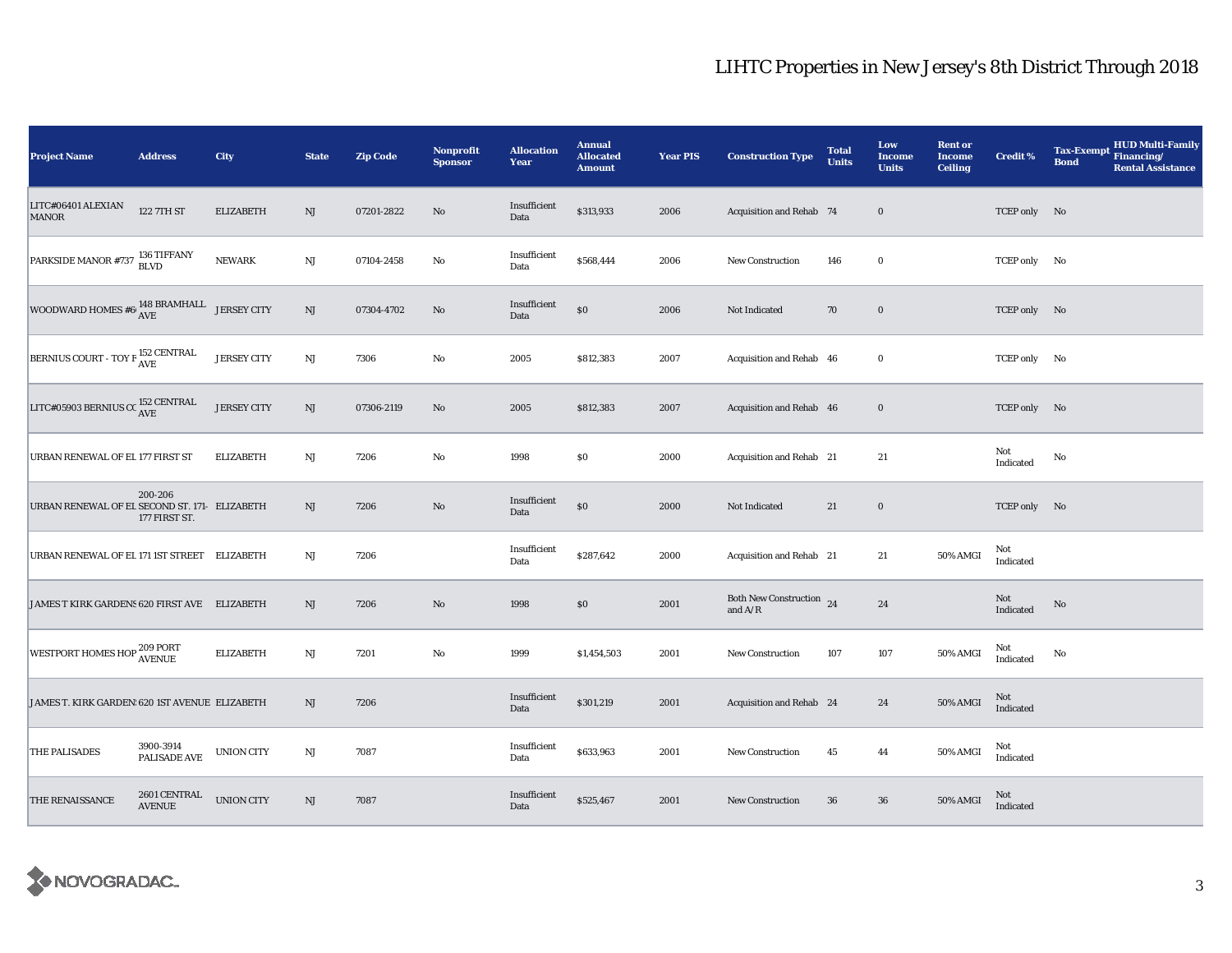| <b>Project Name</b>                              | <b>Address</b>                | City               | <b>State</b>           | <b>Zip Code</b> | <b>Nonprofit</b><br><b>Sponsor</b> | <b>Allocation</b><br>Year | <b>Annual</b><br><b>Allocated</b><br><b>Amount</b> | <b>Year PIS</b> | <b>Construction Type</b>                                                          | <b>Total</b><br><b>Units</b> | Low<br><b>Income</b><br><b>Units</b> | <b>Rent or</b><br><b>Income</b><br><b>Ceiling</b> | Credit %         | <b>HUD Multi-Family</b><br><b>Tax-Exempt</b><br>Financing/<br><b>Bond</b><br><b>Rental Assistance</b> |
|--------------------------------------------------|-------------------------------|--------------------|------------------------|-----------------|------------------------------------|---------------------------|----------------------------------------------------|-----------------|-----------------------------------------------------------------------------------|------------------------------|--------------------------------------|---------------------------------------------------|------------------|-------------------------------------------------------------------------------------------------------|
| LITC#06401 ALEXIAN<br><b>MANOR</b>               | 122 7TH ST                    | <b>ELIZABETH</b>   | NJ                     | 07201-2822      | $\rm No$                           | Insufficient<br>Data      | \$313,933                                          | 2006            | Acquisition and Rehab 74                                                          |                              | $\bf{0}$                             |                                                   | TCEP only No     |                                                                                                       |
| PARKSIDE MANOR #737 136 TIFFANY                  |                               | <b>NEWARK</b>      | $\rm{NJ}$              | 07104-2458      | No                                 | Insufficient<br>Data      | \$568,444                                          | 2006            | <b>New Construction</b>                                                           | 146                          | $\bf{0}$                             |                                                   | TCEP only No     |                                                                                                       |
| WOODWARD HOMES #6 $^{148}$ BRAMHALL JERSEY CITY  |                               |                    | NJ                     | 07304-4702      | No                                 | Insufficient<br>Data      | $\$0$                                              | 2006            | Not Indicated                                                                     | 70                           | $\bf{0}$                             |                                                   | TCEP only No     |                                                                                                       |
| BERNIUS COURT - TOY F <sup>152</sup> CENTRAL     |                               | <b>JERSEY CITY</b> | $\rm{NJ}$              | 7306            | No                                 | 2005                      | \$812,383                                          | 2007            | Acquisition and Rehab 46                                                          |                              | $\bf{0}$                             |                                                   | TCEP only No     |                                                                                                       |
| LITC#05903 BERNIUS CC $_{\rm AVE}^{152}$ CENTRAL |                               | <b>JERSEY CITY</b> | $\rm{NJ}$              | 07306-2119      | $\rm No$                           | 2005                      | \$812,383                                          | 2007            | Acquisition and Rehab 46                                                          |                              | $\bf{0}$                             |                                                   | TCEP only No     |                                                                                                       |
| URBAN RENEWAL OF EL 177 FIRST ST                 |                               | <b>ELIZABETH</b>   | NJ                     | 7206            | $\mathbf{No}$                      | 1998                      | \$0                                                | 2000            | Acquisition and Rehab 21                                                          |                              | 21                                   |                                                   | Not<br>Indicated | No                                                                                                    |
| URBAN RENEWAL OF EL SECOND ST. 171- ELIZABETH    | 200-206<br>177 FIRST ST.      |                    | NJ                     | 7206            | $\rm No$                           | Insufficient<br>Data      | $\$0$                                              | 2000            | Not Indicated                                                                     | 21                           | $\bf{0}$                             |                                                   | TCEP only No     |                                                                                                       |
| URBAN RENEWAL OF EL 171 IST STREET ELIZABETH     |                               |                    | NJ                     | 7206            |                                    | Insufficient<br>Data      | \$287,642                                          | 2000            | Acquisition and Rehab 21                                                          |                              | 21                                   | 50% AMGI                                          | Not<br>Indicated |                                                                                                       |
| JAMES T KIRK GARDENS 620 FIRST AVE ELIZABETH     |                               |                    | NJ                     | 7206            | No                                 | 1998                      | \$0                                                | 2001            | Both New Construction 24<br>and $\ensuremath{\mathrm{A}}/\ensuremath{\mathrm{R}}$ |                              | ${\bf 24}$                           |                                                   | Not<br>Indicated | No                                                                                                    |
| WESTPORT HOMES HOP <sup>209 PORT</sup><br>AVENUE |                               | <b>ELIZABETH</b>   | $\rm{NJ}$              | 7201            | No                                 | 1999                      | \$1,454,503                                        | 2001            | <b>New Construction</b>                                                           | 107                          | 107                                  | 50% AMGI                                          | Not<br>Indicated | No                                                                                                    |
| JAMES T. KIRK GARDEN: 620 IST AVENUE ELIZABETH   |                               |                    | NJ                     | 7206            |                                    | Insufficient<br>Data      | \$301,219                                          | 2001            | Acquisition and Rehab 24                                                          |                              | 24                                   | <b>50% AMGI</b>                                   | Not<br>Indicated |                                                                                                       |
| THE PALISADES                                    | 3900-3914<br>PALISADE AVE     | <b>UNION CITY</b>  | NJ                     | 7087            |                                    | Insufficient<br>Data      | \$633,963                                          | 2001            | <b>New Construction</b>                                                           | 45                           | 44                                   | 50% AMGI                                          | Not<br>Indicated |                                                                                                       |
| THE RENAISSANCE                                  | 2601 CENTRAL<br><b>AVENUE</b> | <b>UNION CITY</b>  | $\mathbf{N}\mathbf{J}$ | 7087            |                                    | Insufficient<br>Data      | \$525,467                                          | 2001            | <b>New Construction</b>                                                           | 36                           | 36                                   | 50% AMGI                                          | Not<br>Indicated |                                                                                                       |

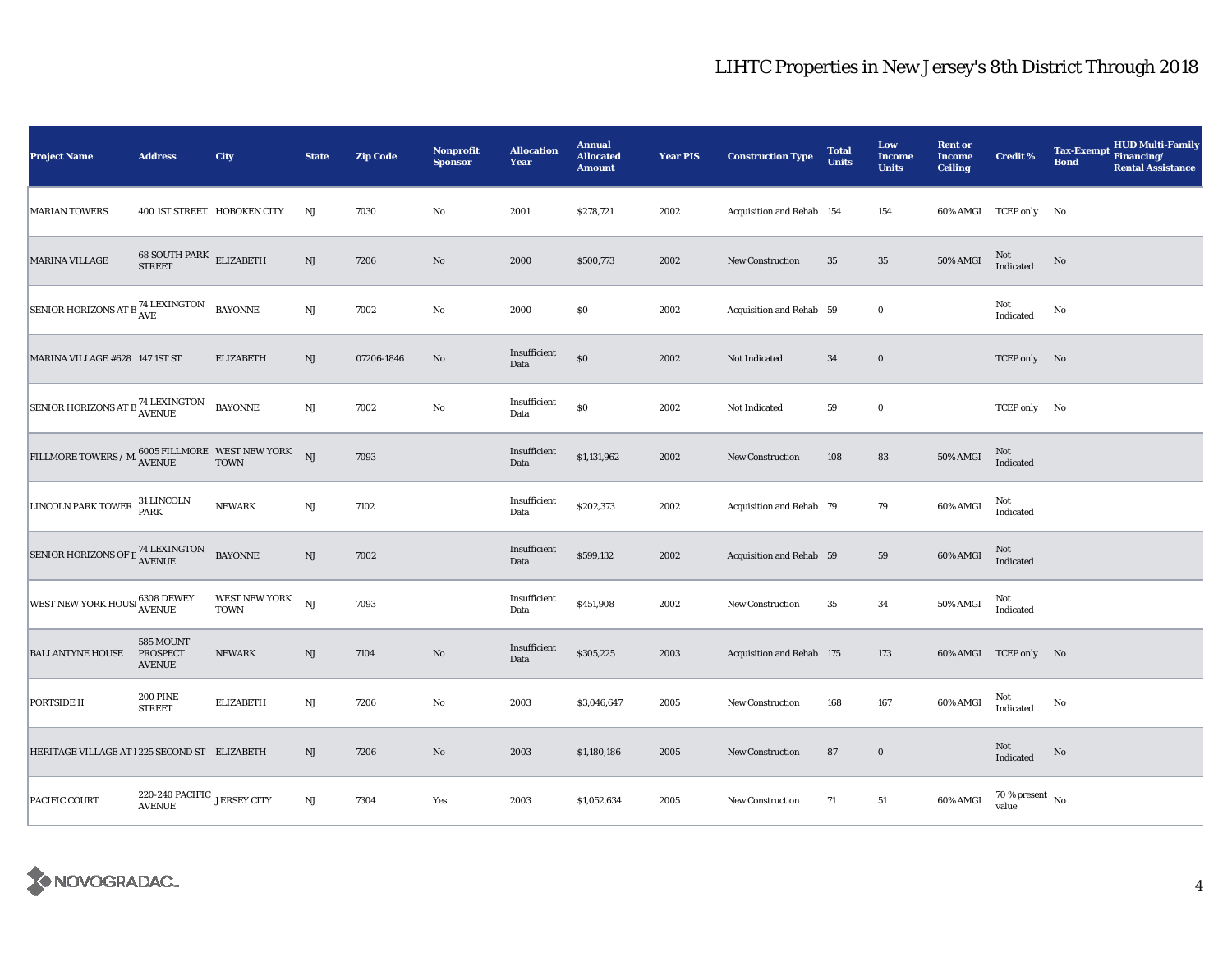| <b>Project Name</b>                                                                              | <b>Address</b>                               | City                         | <b>State</b>           | <b>Zip Code</b> | Nonprofit<br><b>Sponsor</b> | <b>Allocation</b><br>Year | <b>Annual</b><br><b>Allocated</b><br><b>Amount</b> | <b>Year PIS</b> | <b>Construction Type</b>  | <b>Total</b><br><b>Units</b> | Low<br><b>Income</b><br><b>Units</b> | <b>Rent or</b><br><b>Income</b><br><b>Ceiling</b> | <b>Credit %</b>                      | <b>HUD Multi-Family</b><br><b>Tax-Exempt</b><br>Financing/<br><b>Bond</b><br><b>Rental Assistance</b> |
|--------------------------------------------------------------------------------------------------|----------------------------------------------|------------------------------|------------------------|-----------------|-----------------------------|---------------------------|----------------------------------------------------|-----------------|---------------------------|------------------------------|--------------------------------------|---------------------------------------------------|--------------------------------------|-------------------------------------------------------------------------------------------------------|
| <b>MARIAN TOWERS</b>                                                                             |                                              | 400 IST STREET HOBOKEN CITY  | NJ                     | 7030            | $\rm No$                    | 2001                      | \$278,721                                          | 2002            | Acquisition and Rehab 154 |                              | 154                                  |                                                   | 60% AMGI TCEP only No                |                                                                                                       |
| <b>MARINA VILLAGE</b>                                                                            | $68$ SOUTH PARK $\,$ ELIZABETH STREET        |                              | NJ                     | 7206            | $\rm No$                    | 2000                      | \$500,773                                          | 2002            | <b>New Construction</b>   | 35                           | $\bf 35$                             | <b>50% AMGI</b>                                   | Not<br>Indicated                     | $\rm No$                                                                                              |
| SENIOR HORIZONS AT B <sup>74</sup> LEXINGTON                                                     |                                              | <b>BAYONNE</b>               | $\mathbf{N}\mathbf{J}$ | 7002            | $\rm No$                    | 2000                      | \$0                                                | 2002            | Acquisition and Rehab 59  |                              | $\mathbf 0$                          |                                                   | Not<br>Indicated                     | $\mathbf{No}$                                                                                         |
| MARINA VILLAGE #628 147 1ST ST                                                                   |                                              | <b>ELIZABETH</b>             | NJ                     | 07206-1846      | No                          | Insufficient<br>Data      | $\$0$                                              | 2002            | Not Indicated             | 34                           | $\bf{0}$                             |                                                   | TCEP only No                         |                                                                                                       |
| SENIOR HORIZONS AT B <sup>74</sup> LEXINGTON                                                     |                                              | <b>BAYONNE</b>               | $\mathbf{N}\mathbf{J}$ | 7002            | No                          | Insufficient<br>Data      | $\$0$                                              | 2002            | Not Indicated             | 59                           | $\bf{0}$                             |                                                   | TCEP only No                         |                                                                                                       |
| $\tt{FILLMORE} \mbox{ TOWERS}\ /\ M \mbox{ $6005$ FILLMORE} \mbox{ $WEST NEW YORK} \mbox{ $NJ$}$ |                                              |                              |                        | 7093            |                             | Insufficient<br>Data      | \$1,131,962                                        | 2002            | <b>New Construction</b>   | 108                          | ${\bf 83}$                           | <b>50% AMGI</b>                                   | Not<br>Indicated                     |                                                                                                       |
| LINCOLN PARK TOWER <sup>31 LINCOLN</sup>                                                         |                                              | <b>NEWARK</b>                | $\mathbf{N}\mathbf{J}$ | 7102            |                             | Insufficient<br>Data      | \$202,373                                          | 2002            | Acquisition and Rehab 79  |                              | $\bf 79$                             | 60% AMGI                                          | Not<br>Indicated                     |                                                                                                       |
| SENIOR HORIZONS OF B $^{74}_{\rm AVENUE}$                                                        |                                              | <b>BAYONNE</b>               | $\mathbf{N}\mathbf{J}$ | 7002            |                             | Insufficient<br>Data      | \$599,132                                          | 2002            | Acquisition and Rehab 59  |                              | ${\bf 59}$                           | 60% AMGI                                          | $\rm Not$ Indicated                  |                                                                                                       |
| WEST NEW YORK HOUSI 6308 DEWEY                                                                   |                                              | WEST NEW YORK<br><b>TOWN</b> | NJ                     | 7093            |                             | Insufficient<br>Data      | \$451,908                                          | 2002            | New Construction          | 35                           | $\bf{34}$                            | 50% AMGI                                          | Not<br>Indicated                     |                                                                                                       |
| <b>BALLANTYNE HOUSE</b>                                                                          | 585 MOUNT<br>PROSPECT<br><b>AVENUE</b>       | <b>NEWARK</b>                | NJ                     | 7104            | $\rm No$                    | Insufficient<br>Data      | \$305,225                                          | 2003            | Acquisition and Rehab 175 |                              | 173                                  |                                                   | 60% AMGI TCEP only No                |                                                                                                       |
| PORTSIDE II                                                                                      | <b>200 PINE</b><br><b>STREET</b>             | <b>ELIZABETH</b>             | NJ                     | 7206            | No                          | 2003                      | \$3,046,647                                        | 2005            | <b>New Construction</b>   | 168                          | 167                                  | 60% AMGI                                          | Not<br>Indicated                     | No                                                                                                    |
| HERITAGE VILLAGE AT 1225 SECOND ST ELIZABETH                                                     |                                              |                              | NJ                     | 7206            | $\rm No$                    | 2003                      | \$1,180,186                                        | 2005            | New Construction          | 87                           | $\mathbf 0$                          |                                                   | Not<br>Indicated                     | No                                                                                                    |
| PACIFIC COURT                                                                                    | 220-240 PACIFIC JERSEY CITY<br><b>AVENUE</b> |                              | $\mathbf{N}\mathbf{J}$ | 7304            | Yes                         | 2003                      | \$1,052,634                                        | 2005            | New Construction          | 71                           | 51                                   | 60% AMGI                                          | $70$ % present $\,$ No $\,$<br>value |                                                                                                       |

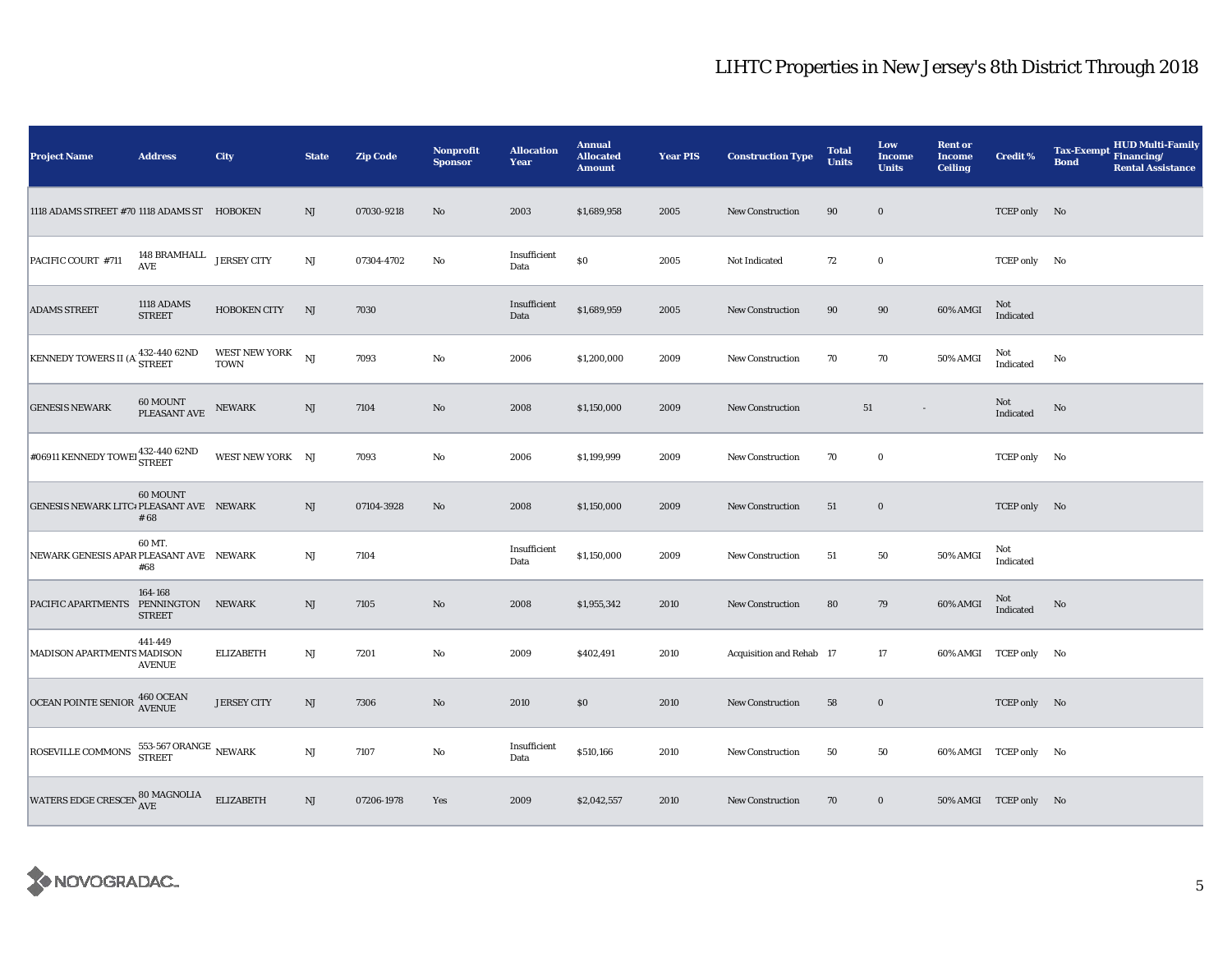| <b>Project Name</b>                                   | <b>Address</b>                         | City                                | <b>State</b>           | <b>Zip Code</b> | Nonprofit<br><b>Sponsor</b> | <b>Allocation</b><br>Year | <b>Annual</b><br><b>Allocated</b><br><b>Amount</b> | <b>Year PIS</b> | <b>Construction Type</b> | <b>Total</b><br><b>Units</b> | Low<br><b>Income</b><br><b>Units</b> | <b>Rent or</b><br><b>Income</b><br><b>Ceiling</b> | <b>Credit %</b>       | <b>HUD Multi-Family</b><br><b>Tax-Exempt</b><br>Financing/<br><b>Bond</b><br><b>Rental Assistance</b> |
|-------------------------------------------------------|----------------------------------------|-------------------------------------|------------------------|-----------------|-----------------------------|---------------------------|----------------------------------------------------|-----------------|--------------------------|------------------------------|--------------------------------------|---------------------------------------------------|-----------------------|-------------------------------------------------------------------------------------------------------|
| 1118 ADAMS STREET #70 1118 ADAMS ST HOBOKEN           |                                        |                                     | NJ                     | 07030-9218      | $\rm No$                    | 2003                      | \$1,689,958                                        | 2005            | <b>New Construction</b>  | 90                           | $\bf{0}$                             |                                                   | TCEP only No          |                                                                                                       |
| PACIFIC COURT #711                                    | 148 BRAMHALL<br>$\operatorname{AVE}$   | <b>JERSEY CITY</b>                  | NJ                     | 07304-4702      | No                          | Insufficient<br>Data      | $\$0$                                              | 2005            | Not Indicated            | 72                           | $\mathbf 0$                          |                                                   | TCEP only No          |                                                                                                       |
| <b>ADAMS STREET</b>                                   | 1118 ADAMS<br><b>STREET</b>            | <b>HOBOKEN CITY</b>                 | NJ                     | 7030            |                             | Insufficient<br>Data      | \$1,689,959                                        | 2005            | <b>New Construction</b>  | 90                           | $90\,$                               | 60% AMGI                                          | Not<br>Indicated      |                                                                                                       |
| KENNEDY TOWERS II (A 432-440 62ND                     |                                        | <b>WEST NEW YORK</b><br><b>TOWN</b> | NJ                     | 7093            | $\rm No$                    | 2006                      | \$1,200,000                                        | 2009            | New Construction         | 70                           | 70                                   | 50% AMGI                                          | Not<br>Indicated      | $\mathbf{No}$                                                                                         |
| <b>GENESIS NEWARK</b>                                 | 60 MOUNT<br>PLEASANT AVE               | <b>NEWARK</b>                       | NJ                     | 7104            | $\rm No$                    | 2008                      | \$1,150,000                                        | 2009            | New Construction         | 51                           |                                      |                                                   | Not<br>Indicated      | No                                                                                                    |
| $\neq$ 06911 KENNEDY TOWE $\frac{432-440}{\rm STRET}$ |                                        | WEST NEW YORK NJ                    |                        | 7093            | $\rm No$                    | 2006                      | \$1,199,999                                        | 2009            | New Construction         | 70                           | $\bf{0}$                             |                                                   | TCEP only No          |                                                                                                       |
| GENESIS NEWARK LITC# PLEASANT AVE NEWARK              | 60 MOUNT<br># 68                       |                                     | NJ                     | 07104-3928      | $\rm No$                    | 2008                      | \$1,150,000                                        | 2009            | New Construction         | 51                           | $\mathbf 0$                          |                                                   | TCEP only No          |                                                                                                       |
| NEWARK GENESIS APAR PLEASANT AVE NEWARK               | 60 MT.<br>#68                          |                                     | $_{\rm NJ}$            | 7104            |                             | Insufficient<br>Data      | \$1,150,000                                        | 2009            | New Construction         | 51                           | $50\,$                               | 50% AMGI                                          | Not<br>Indicated      |                                                                                                       |
| PACIFIC APARTMENTS PENNINGTON                         | 164-168<br><b>STREET</b>               | <b>NEWARK</b>                       | NJ                     | 7105            | No                          | 2008                      | \$1,955,342                                        | 2010            | <b>New Construction</b>  | 80                           | 79                                   | 60% AMGI                                          | Not<br>Indicated      | No                                                                                                    |
| MADISON APARTMENTS MADISON                            | 441-449<br><b>AVENUE</b>               | <b>ELIZABETH</b>                    | NJ                     | 7201            | No                          | 2009                      | \$402,491                                          | 2010            | Acquisition and Rehab 17 |                              | 17                                   |                                                   | 60% AMGI TCEP only No |                                                                                                       |
| OCEAN POINTE SENIOR 460 OCEAN                         |                                        | <b>JERSEY CITY</b>                  | NJ                     | 7306            | $\rm No$                    | 2010                      | \$0                                                | 2010            | <b>New Construction</b>  | 58                           | $\mathbf 0$                          |                                                   | TCEP only No          |                                                                                                       |
| ROSEVILLE COMMONS                                     | 553-567 ORANGE $\,$ NEWARK $\,$ STREET |                                     | $\mathbf{N}\mathbf{J}$ | 7107            | No                          | Insufficient<br>Data      | \$510,166                                          | 2010            | <b>New Construction</b>  | 50                           | 50                                   |                                                   | 60% AMGI TCEP only No |                                                                                                       |
| WATERS EDGE CRESCEN $_{\rm AVE}^{80~\rm MAGNOLIA}$    |                                        | <b>ELIZABETH</b>                    | $\rm{NJ}$              | 07206-1978      | Yes                         | 2009                      | \$2,042,557                                        | 2010            | New Construction         | 70                           | $\bf{0}$                             |                                                   | 50% AMGI TCEP only No |                                                                                                       |

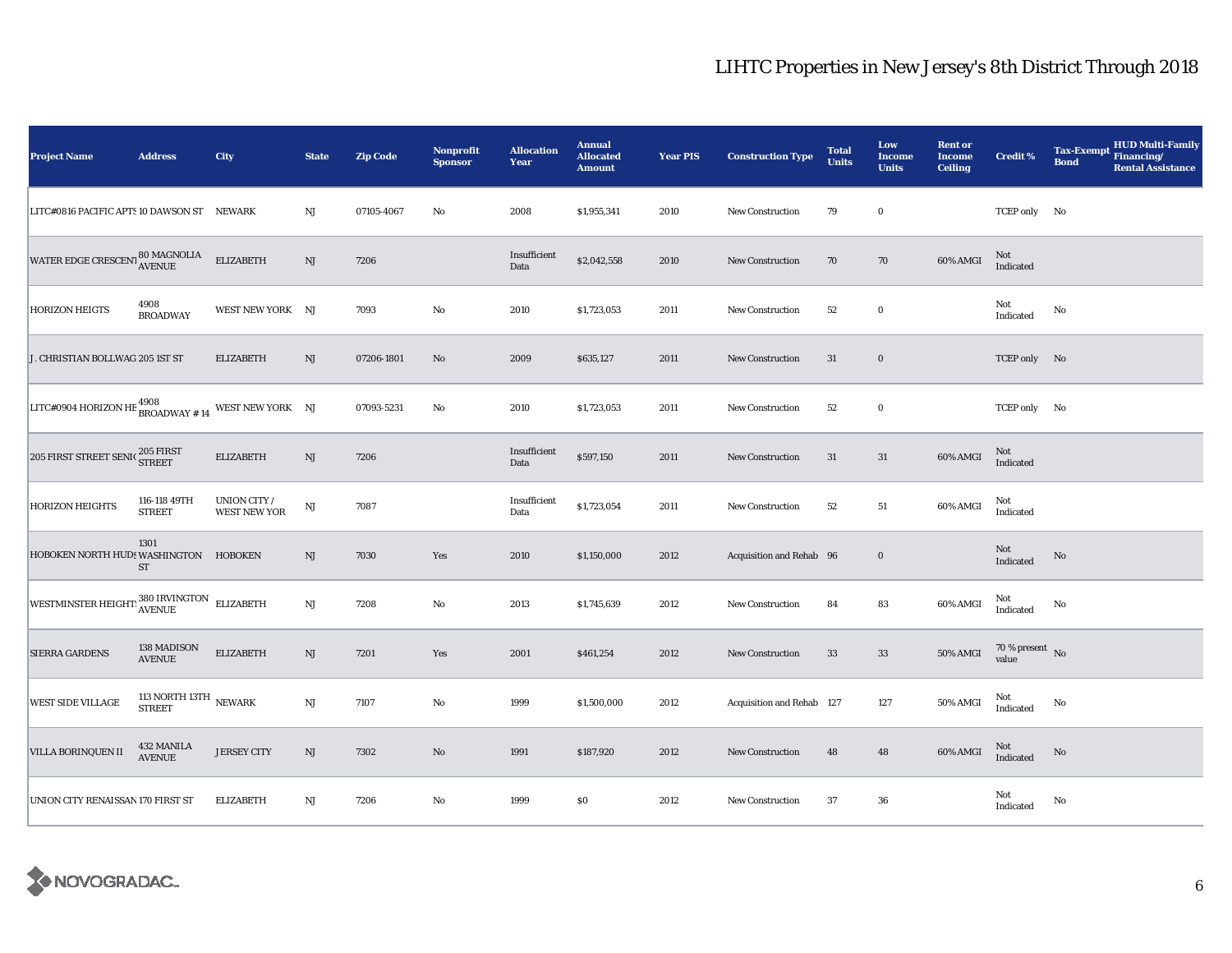| <b>Project Name</b>                                                     | <b>Address</b>                              | <b>City</b>                         | <b>State</b>           | <b>Zip Code</b> | <b>Nonprofit</b><br><b>Sponsor</b> | <b>Allocation</b><br>Year | <b>Annual</b><br><b>Allocated</b><br><b>Amount</b> | <b>Year PIS</b> | <b>Construction Type</b>  | <b>Total</b><br><b>Units</b> | Low<br><b>Income</b><br><b>Units</b> | <b>Rent or</b><br><b>Income</b><br><b>Ceiling</b> | <b>Credit %</b>                    | <b>HUD Multi-Family</b><br><b>Tax-Exempt</b><br>Financing/<br><b>Bond</b><br><b>Rental Assistance</b> |
|-------------------------------------------------------------------------|---------------------------------------------|-------------------------------------|------------------------|-----------------|------------------------------------|---------------------------|----------------------------------------------------|-----------------|---------------------------|------------------------------|--------------------------------------|---------------------------------------------------|------------------------------------|-------------------------------------------------------------------------------------------------------|
| LITC#0816 PACIFIC APTS 10 DAWSON ST NEWARK                              |                                             |                                     | NJ                     | 07105-4067      | $\rm No$                           | 2008                      | \$1,955,341                                        | 2010            | New Construction          | 79                           | $\bf{0}$                             |                                                   | TCEP only No                       |                                                                                                       |
| WATER EDGE CRESCENT 80 MAGNOLIA                                         |                                             | <b>ELIZABETH</b>                    | NJ                     | 7206            |                                    | Insufficient<br>Data      | \$2,042,558                                        | 2010            | <b>New Construction</b>   | 70                           | 70                                   | 60% AMGI                                          | Not<br>Indicated                   |                                                                                                       |
| <b>HORIZON HEIGTS</b>                                                   | 4908<br><b>BROADWAY</b>                     | WEST NEW YORK NJ                    |                        | 7093            | No                                 | 2010                      | \$1,723,053                                        | 2011            | New Construction          | 52                           | $\bf{0}$                             |                                                   | Not<br>Indicated                   | $\mathbf{No}$                                                                                         |
| J. CHRISTIAN BOLLWAG 205 1ST ST                                         |                                             | <b>ELIZABETH</b>                    | NJ                     | 07206-1801      | $\mathbf{N}\mathbf{o}$             | 2009                      | \$635,127                                          | 2011            | <b>New Construction</b>   | 31                           | $\mathbf 0$                          |                                                   | TCEP only No                       |                                                                                                       |
| <b>LITC#0904 HORIZON HE <math>^{4908}_{\text{BROADWAY~# 14}}</math></b> |                                             | WEST NEW YORK NJ                    |                        | 07093-5231      | No                                 | 2010                      | \$1,723,053                                        | 2011            | <b>New Construction</b>   | 52                           | $\bf{0}$                             |                                                   | TCEP only No                       |                                                                                                       |
| $205$ FIRST STREET SENIC $_{\rm STREF}^{205}$ FIRST                     |                                             | <b>ELIZABETH</b>                    | $\mathbf{N}\mathbf{J}$ | 7206            |                                    | Insufficient<br>Data      | \$597,150                                          | 2011            | <b>New Construction</b>   | 31                           | 31                                   | 60% AMGI                                          | Not<br>Indicated                   |                                                                                                       |
| <b>HORIZON HEIGHTS</b>                                                  | 116-118 49TH<br><b>STREET</b>               | UNION CITY /<br><b>WEST NEW YOR</b> | $\mathbf{N}\mathbf{J}$ | 7087            |                                    | Insufficient<br>Data      | \$1,723,054                                        | 2011            | New Construction          | 52                           | ${\bf 51}$                           | 60% AMGI                                          | Not<br>Indicated                   |                                                                                                       |
| HOBOKEN NORTH HUDS WASHINGTON                                           | 1301<br><b>ST</b>                           | <b>HOBOKEN</b>                      | $\rm{NJ}$              | 7030            | Yes                                | 2010                      | \$1,150,000                                        | 2012            | Acquisition and Rehab 96  |                              | $\bf{0}$                             |                                                   | Not<br>Indicated                   | No                                                                                                    |
| WESTMINSTER HEIGHT: 380 IRVINGTON ELIZABETH                             |                                             |                                     | $\mathbf{N}\mathbf{J}$ | 7208            | No                                 | 2013                      | \$1,745,639                                        | 2012            | New Construction          | 84                           | 83                                   | 60% AMGI                                          | Not<br>Indicated                   | No                                                                                                    |
| <b>SIERRA GARDENS</b>                                                   | 138 MADISON<br><b>AVENUE</b>                | <b>ELIZABETH</b>                    | $\rm{NJ}$              | 7201            | Yes                                | 2001                      | \$461,254                                          | 2012            | New Construction          | 33                           | 33                                   | <b>50% AMGI</b>                                   | 70 % present $\hbox{~No}$<br>value |                                                                                                       |
| <b>WEST SIDE VILLAGE</b>                                                | 113 NORTH 13TH $\,$ NEWARK<br><b>STREET</b> |                                     | NJ                     | 7107            | No                                 | 1999                      | \$1,500,000                                        | 2012            | Acquisition and Rehab 127 |                              | 127                                  | 50% AMGI                                          | Not<br>Indicated                   | No                                                                                                    |
| VILLA BORINQUEN II                                                      | 432 MANILA<br><b>AVENUE</b>                 | <b>JERSEY CITY</b>                  | $\rm{NJ}$              | 7302            | $\mathbf{N}\mathbf{o}$             | 1991                      | \$187,920                                          | 2012            | New Construction          | 48                           | 48                                   | 60% AMGI                                          | Not<br>Indicated                   | No                                                                                                    |
| UNION CITY RENAISSAN 170 FIRST ST                                       |                                             | <b>ELIZABETH</b>                    | NJ                     | 7206            | $\mathbf{No}$                      | 1999                      | \$0                                                | 2012            | New Construction          | 37                           | 36                                   |                                                   | Not<br>Indicated                   | No                                                                                                    |

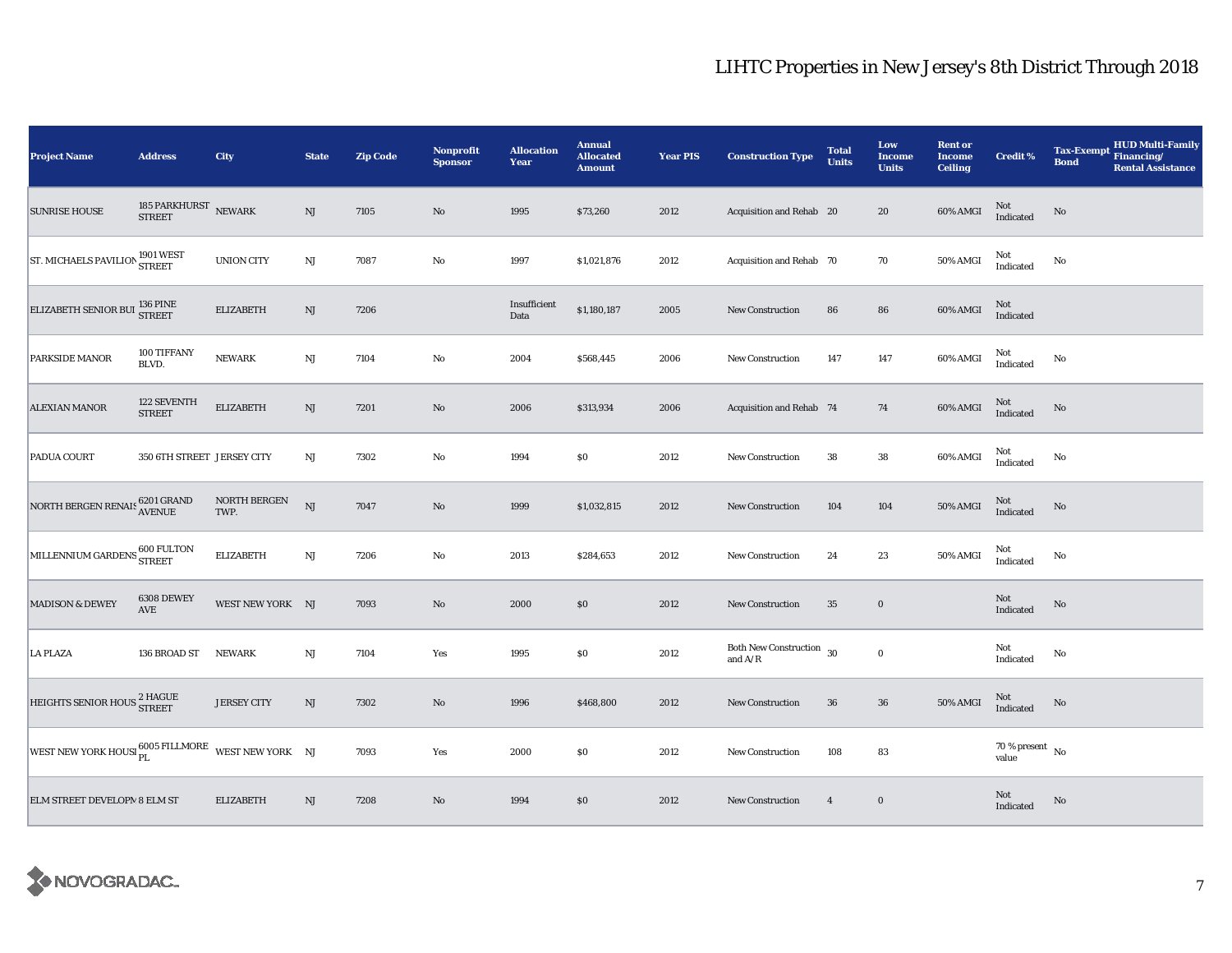| <b>Project Name</b>                                              | <b>Address</b>                     | City                 | <b>State</b>           | <b>Zip Code</b> | <b>Nonprofit</b><br><b>Sponsor</b> | <b>Allocation</b><br>Year | <b>Annual</b><br><b>Allocated</b><br><b>Amount</b> | <b>Year PIS</b> | <b>Construction Type</b>                        | <b>Total</b><br><b>Units</b> | Low<br>Income<br><b>Units</b> | <b>Rent or</b><br><b>Income</b><br><b>Ceiling</b> | <b>Credit %</b>                    | HUD Multi-Family<br><b>Tax-Exempt</b><br>Financing/<br><b>Bond</b><br><b>Rental Assistance</b> |
|------------------------------------------------------------------|------------------------------------|----------------------|------------------------|-----------------|------------------------------------|---------------------------|----------------------------------------------------|-----------------|-------------------------------------------------|------------------------------|-------------------------------|---------------------------------------------------|------------------------------------|------------------------------------------------------------------------------------------------|
| <b>SUNRISE HOUSE</b>                                             | 185 PARKHURST<br><b>STREET</b>     | <b>NEWARK</b>        | NJ                     | 7105            | $\rm No$                           | 1995                      | \$73,260                                           | 2012            | Acquisition and Rehab 20                        |                              | 20                            | 60% AMGI                                          | Not<br>Indicated                   | No                                                                                             |
| ST. MICHAELS PAVILION 1901 WEST                                  |                                    | <b>UNION CITY</b>    | NJ                     | 7087            | No                                 | 1997                      | \$1,021,876                                        | 2012            | Acquisition and Rehab 70                        |                              | $70\,$                        | 50% AMGI                                          | Not<br>Indicated                   | No                                                                                             |
| ELIZABETH SENIOR BUI <sup>136</sup> PINE                         |                                    | <b>ELIZABETH</b>     | NJ                     | 7206            |                                    | Insufficient<br>Data      | \$1,180,187                                        | 2005            | <b>New Construction</b>                         | 86                           | 86                            | 60% AMGI                                          | $\rm Not$ Indicated                |                                                                                                |
| PARKSIDE MANOR                                                   | 100 TIFFANY<br>BLVD.               | <b>NEWARK</b>        | NJ                     | 7104            | No                                 | 2004                      | \$568,445                                          | 2006            | New Construction                                | 147                          | 147                           | 60% AMGI                                          | Not<br>Indicated                   | No                                                                                             |
| <b>ALEXIAN MANOR</b>                                             | 122 SEVENTH<br><b>STREET</b>       | <b>ELIZABETH</b>     | $\mathbf{N}\mathbf{J}$ | 7201            | $\rm No$                           | 2006                      | \$313,934                                          | 2006            | Acquisition and Rehab 74                        |                              | 74                            | 60% AMGI                                          | Not<br>Indicated                   | $\rm No$                                                                                       |
| PADUA COURT                                                      | 350 6TH STREET JERSEY CITY         |                      | $_{\rm NJ}$            | 7302            | $\mathbf {No}$                     | 1994                      | \$0                                                | 2012            | <b>New Construction</b>                         | 38                           | $38\,$                        | 60% AMGI                                          | Not<br>Indicated                   | No                                                                                             |
| NORTH BERGEN RENAIS 6201 GRAND                                   |                                    | NORTH BERGEN<br>TWP. | <b>NJ</b>              | 7047            | $\rm No$                           | 1999                      | \$1,032,815                                        | 2012            | New Construction                                | 104                          | 104                           | 50% AMGI                                          | $\rm Not$ Indicated                | $\rm No$                                                                                       |
| MILLENNIUM GARDENS 600 FULTON                                    |                                    | <b>ELIZABETH</b>     | $_{\rm NJ}$            | 7206            | No                                 | 2013                      | \$284,653                                          | 2012            | <b>New Construction</b>                         | 24                           | 23                            | 50% AMGI                                          | Not<br>Indicated                   | No                                                                                             |
| <b>MADISON &amp; DEWEY</b>                                       | 6308 DEWEY<br>$\operatorname{AVE}$ | WEST NEW YORK NJ     |                        | 7093            | $\rm No$                           | 2000                      | \$0                                                | 2012            | New Construction                                | 35                           | $\bf{0}$                      |                                                   | Not<br>Indicated                   | $\rm No$                                                                                       |
| <b>LA PLAZA</b>                                                  | 136 BROAD ST                       | <b>NEWARK</b>        | NJ                     | 7104            | Yes                                | 1995                      | \$0                                                | 2012            | Both New Construction $\,$ 30 $\,$<br>and $A/R$ |                              | $\bf{0}$                      |                                                   | Not<br>Indicated                   | No                                                                                             |
| HEIGHTS SENIOR HOUS <sup>2</sup> HAGUE                           |                                    | <b>JERSEY CITY</b>   | NJ                     | 7302            | $\rm No$                           | 1996                      | \$468,800                                          | 2012            | New Construction                                | 36                           | ${\bf 36}$                    | 50% AMGI                                          | Not<br>Indicated                   | No                                                                                             |
| WEST NEW YORK HOUSI $_{\rm PL}^{6005}$ FILLMORE WEST NEW YORK NJ |                                    |                      |                        | 7093            | Yes                                | 2000                      | \$0                                                | 2012            | New Construction                                | 108                          | 83                            |                                                   | 70 % present $\hbox{~No}$<br>value |                                                                                                |
| ELM STREET DEVELOPM 8 ELM ST                                     |                                    | <b>ELIZABETH</b>     | NJ                     | 7208            | $\rm No$                           | 1994                      | $\$0$                                              | 2012            | <b>New Construction</b>                         | $\overline{4}$               | $\bf{0}$                      |                                                   | Not<br>Indicated                   | No                                                                                             |

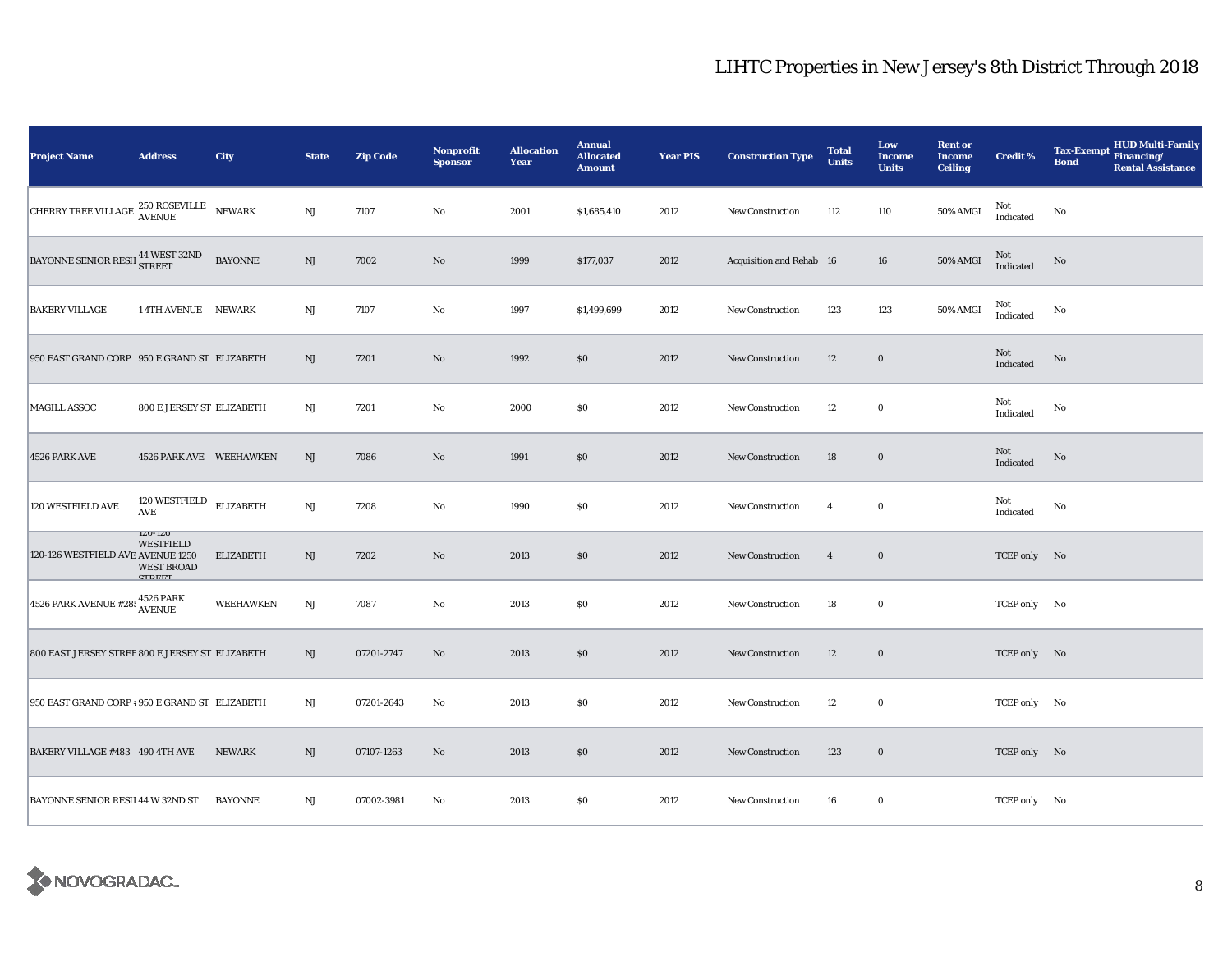| <b>Project Name</b>                                             | <b>Address</b>                                                                      | City             | <b>State</b>           | <b>Zip Code</b> | <b>Nonprofit</b><br><b>Sponsor</b> | <b>Allocation</b><br>Year | <b>Annual</b><br><b>Allocated</b><br><b>Amount</b> | <b>Year PIS</b> | <b>Construction Type</b> | <b>Total</b><br><b>Units</b> | Low<br><b>Income</b><br><b>Units</b> | <b>Rent or</b><br><b>Income</b><br><b>Ceiling</b> | <b>Credit %</b>  | <b>HUD Multi-Family</b><br><b>Tax-Exempt</b><br>Financing/<br><b>Bond</b><br><b>Rental Assistance</b> |
|-----------------------------------------------------------------|-------------------------------------------------------------------------------------|------------------|------------------------|-----------------|------------------------------------|---------------------------|----------------------------------------------------|-----------------|--------------------------|------------------------------|--------------------------------------|---------------------------------------------------|------------------|-------------------------------------------------------------------------------------------------------|
| CHERRY TREE VILLAGE $^{250}$ ROSEVILLE                          |                                                                                     | NEWARK           | $\mathbf{N}\mathbf{J}$ | 7107            | No                                 | 2001                      | \$1,685,410                                        | 2012            | New Construction         | 112                          | 110                                  | 50% AMGI                                          | Not<br>Indicated | No                                                                                                    |
| BAYONNE SENIOR RESII 44 WEST 32ND                               |                                                                                     | <b>BAYONNE</b>   | NJ                     | 7002            | No                                 | 1999                      | \$177,037                                          | 2012            | Acquisition and Rehab 16 |                              | 16                                   | 50% AMGI                                          | Not<br>Indicated | No                                                                                                    |
| <b>BAKERY VILLAGE</b>                                           | 14TH AVENUE NEWARK                                                                  |                  | $_{\rm NJ}$            | 7107            | No                                 | 1997                      | \$1,499,699                                        | 2012            | New Construction         | 123                          | 123                                  | 50% AMGI                                          | Not<br>Indicated | No                                                                                                    |
| 950 EAST GRAND CORP 950 E GRAND ST ELIZABETH                    |                                                                                     |                  | NJ                     | 7201            | $\mathbf{N}\mathbf{o}$             | 1992                      | \$0                                                | 2012            | New Construction         | 12                           | $\bf{0}$                             |                                                   | Not<br>Indicated | No                                                                                                    |
| <b>MAGILL ASSOC</b>                                             | 800 E JERSEY ST ELIZABETH                                                           |                  | NJ                     | 7201            | $\rm No$                           | 2000                      | \$0                                                | 2012            | New Construction         | 12                           | $\bf{0}$                             |                                                   | Not<br>Indicated | No                                                                                                    |
| 4526 PARK AVE                                                   | 4526 PARK AVE WEEHAWKEN                                                             |                  | $\mathbf{N}\mathbf{J}$ | 7086            | No                                 | 1991                      | \$0                                                | 2012            | New Construction         | 18                           | $\bf{0}$                             |                                                   | Not<br>Indicated | No                                                                                                    |
| 120 WESTFIELD AVE                                               | 120 WESTFIELD ELIZABETH<br>$\mathbf{AVE}$                                           |                  | $\rm{NJ}$              | 7208            | No                                 | 1990                      | \$0                                                | 2012            | New Construction         | $\overline{4}$               | $\bf{0}$                             |                                                   | Not<br>Indicated | No                                                                                                    |
| 120-126 WESTFIELD AVE AVENUE 1250                               | $1\angle U$ - $1\angle U$<br><b>WESTFIELD</b><br><b>WEST BROAD</b><br><b>CTDEET</b> | <b>ELIZABETH</b> | NJ                     | 7202            | $\rm No$                           | 2013                      | \$0                                                | 2012            | New Construction         | $\overline{4}$               | $\bf{0}$                             |                                                   | TCEP only No     |                                                                                                       |
| 4526 PARK AVENUE #28: $\frac{4526 \text{ PARK}}{\text{AVENUE}}$ |                                                                                     | WEEHAWKEN        | NJ                     | 7087            | No                                 | 2013                      | \$0                                                | 2012            | New Construction         | 18                           | $\bf{0}$                             |                                                   | TCEP only No     |                                                                                                       |
| 800 EAST JERSEY STREE 800 E JERSEY ST ELIZABETH                 |                                                                                     |                  | NJ                     | 07201-2747      | $\mathbf{N}\mathbf{o}$             | 2013                      | \$0                                                | 2012            | <b>New Construction</b>  | 12                           | $\bf{0}$                             |                                                   | TCEP only No     |                                                                                                       |
| 950 EAST GRAND CORP # 950 E GRAND ST ELIZABETH                  |                                                                                     |                  | NJ                     | 07201-2643      | No                                 | 2013                      | \$0                                                | 2012            | <b>New Construction</b>  | 12                           | $\bf{0}$                             |                                                   | TCEP only No     |                                                                                                       |
| BAKERY VILLAGE #483 490 4TH AVE                                 |                                                                                     | <b>NEWARK</b>    | NJ                     | 07107-1263      | $\mathbf{N}\mathbf{o}$             | 2013                      | \$0                                                | 2012            | New Construction         | 123                          | $\bf{0}$                             |                                                   | TCEP only No     |                                                                                                       |
| <b>BAYONNE SENIOR RESII 44 W 32ND ST</b>                        |                                                                                     | <b>BAYONNE</b>   | NJ                     | 07002-3981      | No                                 | 2013                      | \$0                                                | 2012            | New Construction         | 16                           | $\bf{0}$                             |                                                   | TCEP only No     |                                                                                                       |

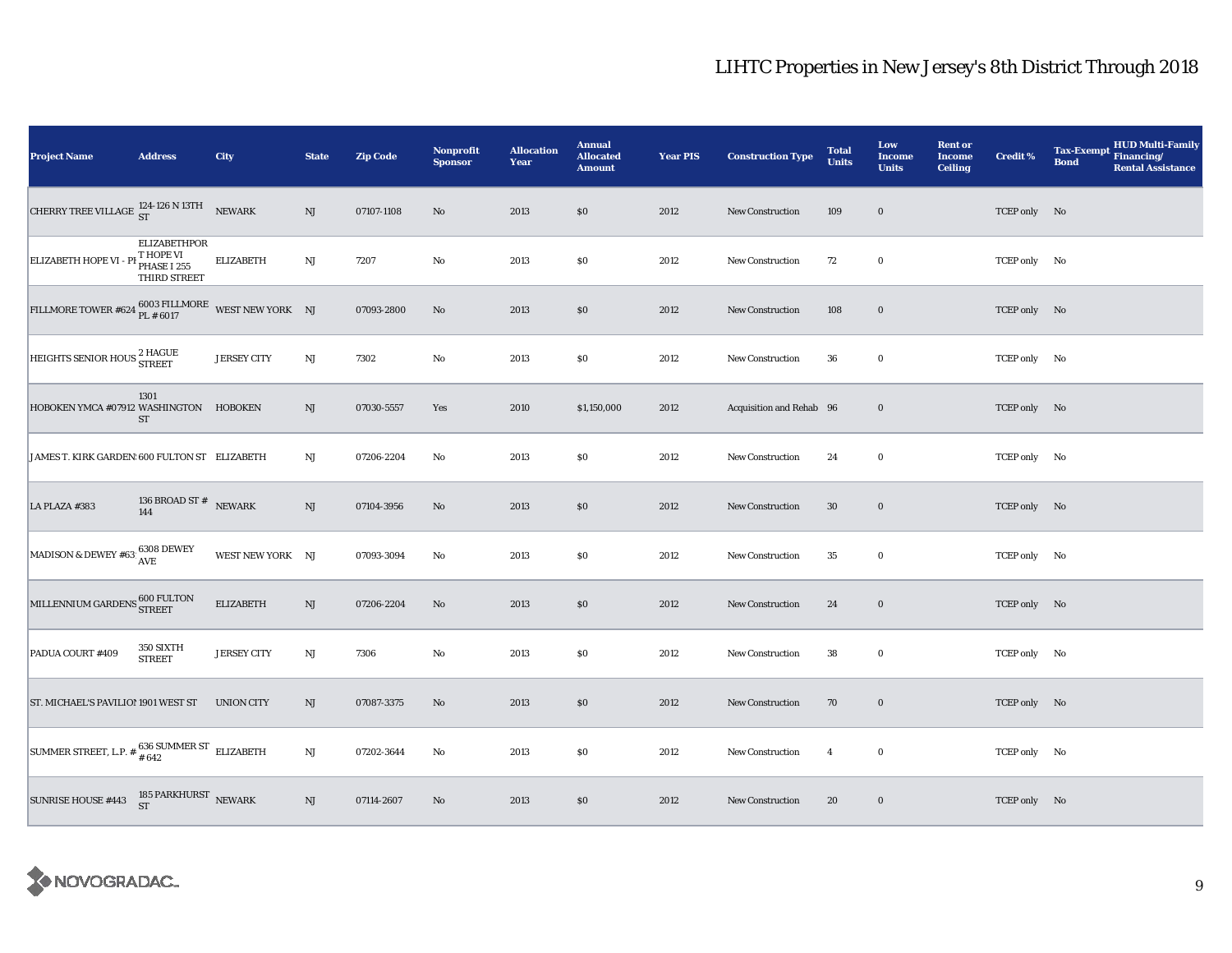| <b>Project Name</b>                                                           | <b>Address</b>                                                  | City               | <b>State</b>           | <b>Zip Code</b> | Nonprofit<br><b>Sponsor</b> | <b>Allocation</b><br>Year | <b>Annual</b><br><b>Allocated</b><br><b>Amount</b> | <b>Year PIS</b> | <b>Construction Type</b> | <b>Total</b><br><b>Units</b> | Low<br>Income<br><b>Units</b> | <b>Rent or</b><br><b>Income</b><br><b>Ceiling</b> | Credit %     | HUD Multi-Family<br><b>Tax-Exempt</b><br>Financing/<br><b>Bond</b><br><b>Rental Assistance</b> |
|-------------------------------------------------------------------------------|-----------------------------------------------------------------|--------------------|------------------------|-----------------|-----------------------------|---------------------------|----------------------------------------------------|-----------------|--------------------------|------------------------------|-------------------------------|---------------------------------------------------|--------------|------------------------------------------------------------------------------------------------|
| CHERRY TREE VILLAGE $^{124-126 \text{ N} 13 \text{T}H}_{\text{ST}}$ NEWARK    |                                                                 |                    | NJ                     | 07107-1108      | No                          | 2013                      | \$0                                                | 2012            | New Construction         | 109                          | $\bf{0}$                      |                                                   | TCEP only No |                                                                                                |
| ELIZABETH HOPE VI - P                                                         | <b>ELIZABETHPOR</b><br>T HOPE VI<br>PHASE I 255<br>THIRD STREET | <b>ELIZABETH</b>   | NJ                     | 7207            | No                          | 2013                      | \$0                                                | 2012            | New Construction         | 72                           | $\mathbf 0$                   |                                                   | TCEP only No |                                                                                                |
| FILLMORE TOWER #624 $_{\rm PL\ \#6017}^{6003\ \rm FILLMORE}$ WEST NEW YORK NJ |                                                                 |                    |                        | 07093-2800      | $\mathbf{N}\mathbf{o}$      | 2013                      | \$0                                                | 2012            | <b>New Construction</b>  | 108                          | $\boldsymbol{0}$              |                                                   | TCEP only No |                                                                                                |
| HEIGHTS SENIOR HOUS <sup>2</sup> HAGUE                                        |                                                                 | <b>JERSEY CITY</b> | NJ                     | 7302            | $\rm No$                    | 2013                      | $\$0$                                              | 2012            | New Construction         | 36                           | $\bf{0}$                      |                                                   | TCEP only No |                                                                                                |
| HOBOKEN YMCA #07912 WASHINGTON HOBOKEN                                        | 1301<br>${\rm ST}$                                              |                    | NJ                     | 07030-5557      | Yes                         | 2010                      | \$1,150,000                                        | 2012            | Acquisition and Rehab 96 |                              | $\bf{0}$                      |                                                   | TCEP only No |                                                                                                |
| JAMES T. KIRK GARDEN: 600 FULTON ST ELIZABETH                                 |                                                                 |                    | $_{\rm NJ}$            | 07206-2204      | $\mathbf{No}$               | 2013                      | $\$0$                                              | 2012            | New Construction         | 24                           | $\bf{0}$                      |                                                   | TCEP only No |                                                                                                |
| LA PLAZA #383                                                                 | 136 BROAD ST $^{\#}$ NEWARK<br>144                              |                    | NJ                     | 07104-3956      | No                          | 2013                      | \$0                                                | 2012            | <b>New Construction</b>  | $30\,$                       | $\bf{0}$                      |                                                   | TCEP only No |                                                                                                |
| MADISON & DEWEY #63: $\frac{6308}{AVE}$                                       |                                                                 | WEST NEW YORK NJ   |                        | 07093-3094      | $\mathbf{No}$               | 2013                      | $\$0$                                              | 2012            | New Construction         | $35\,$                       | $\bf{0}$                      |                                                   | TCEP only No |                                                                                                |
| MILLENNIUM GARDENS 600 FULTON                                                 |                                                                 | <b>ELIZABETH</b>   | NJ                     | 07206-2204      | No                          | 2013                      | $\$0$                                              | 2012            | New Construction         | 24                           | $\boldsymbol{0}$              |                                                   | TCEP only No |                                                                                                |
| PADUA COURT #409                                                              | 350 SIXTH<br><b>STREET</b>                                      | <b>JERSEY CITY</b> | $\mathbf{N}\mathbf{J}$ | 7306            | $\rm No$                    | 2013                      | \$0                                                | 2012            | <b>New Construction</b>  | 38                           | $\mathbf 0$                   |                                                   | TCEP only No |                                                                                                |
| ST. MICHAEL'S PAVILIO! 1901 WEST ST                                           |                                                                 | <b>UNION CITY</b>  | NJ                     | 07087-3375      | $\rm No$                    | 2013                      | \$0                                                | 2012            | <b>New Construction</b>  | 70                           | $\mathbf 0$                   |                                                   | TCEP only No |                                                                                                |
| SUMMER STREET, L.P. $*$ $*$ 636 SUMMER ST ELIZABETH                           |                                                                 |                    | NJ                     | 07202-3644      | No                          | 2013                      | \$0                                                | 2012            | <b>New Construction</b>  | $\overline{4}$               | $\bf{0}$                      |                                                   | TCEP only No |                                                                                                |
| SUNRISE HOUSE #443                                                            | 185 PARKHURST $$\rm{NEWARK} \rm{S}$                             |                    | NJ                     | 07114-2607      | No                          | 2013                      | \$0                                                | 2012            | New Construction         | 20                           | $\bf{0}$                      |                                                   | TCEP only No |                                                                                                |

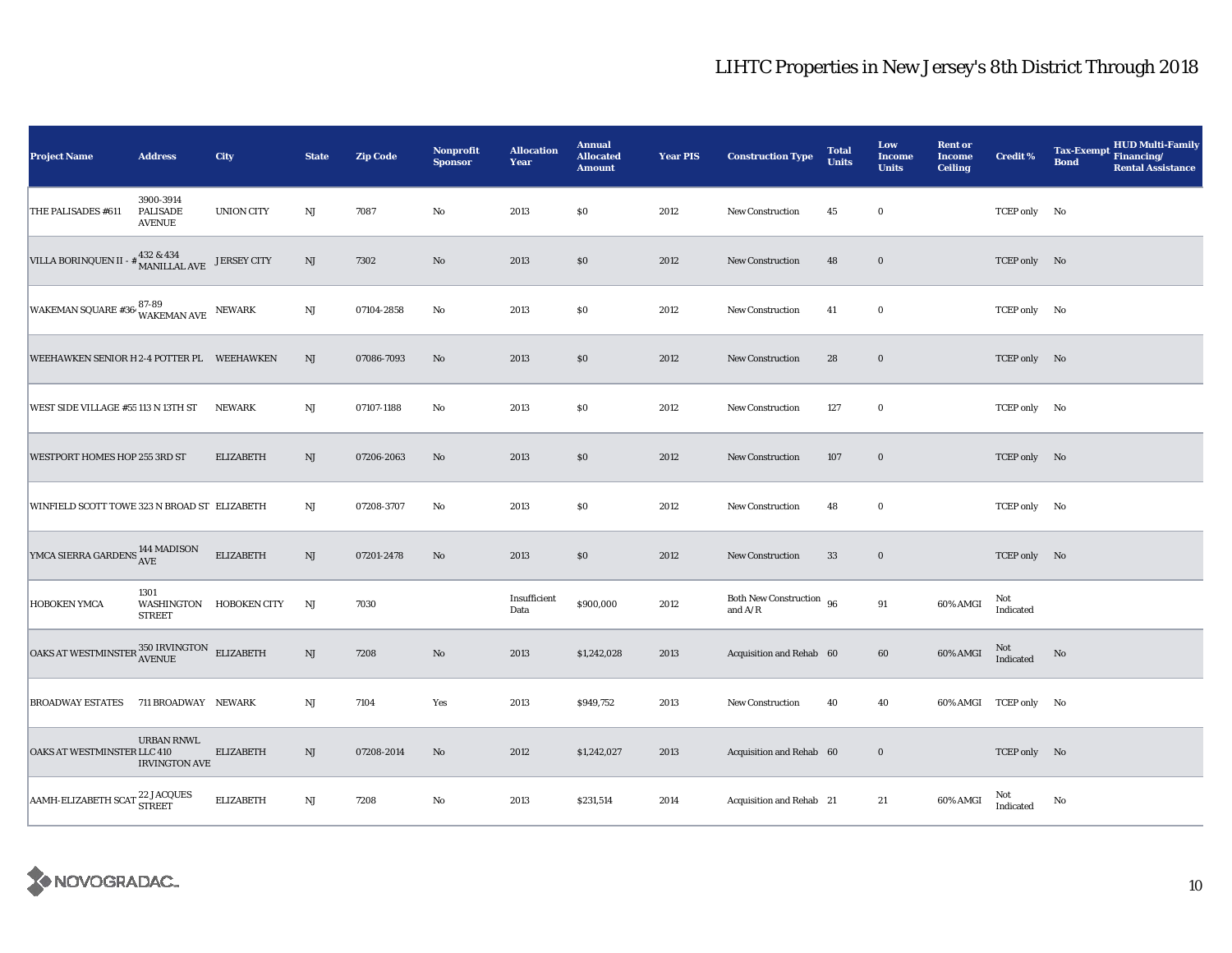| <b>Project Name</b>                                                                                                                                              | <b>Address</b>                                | <b>City</b>             | <b>State</b>           | <b>Zip Code</b> | Nonprofit<br><b>Sponsor</b> | <b>Allocation</b><br>Year | <b>Annual</b><br><b>Allocated</b><br><b>Amount</b> | <b>Year PIS</b> | <b>Construction Type</b>              | <b>Total</b><br><b>Units</b> | Low<br><b>Income</b><br><b>Units</b> | <b>Rent or</b><br><b>Income</b><br><b>Ceiling</b> | <b>Credit %</b>       | <b>HUD Multi-Family</b><br><b>Tax-Exempt</b><br>Financing/<br><b>Bond</b><br><b>Rental Assistance</b> |
|------------------------------------------------------------------------------------------------------------------------------------------------------------------|-----------------------------------------------|-------------------------|------------------------|-----------------|-----------------------------|---------------------------|----------------------------------------------------|-----------------|---------------------------------------|------------------------------|--------------------------------------|---------------------------------------------------|-----------------------|-------------------------------------------------------------------------------------------------------|
| THE PALISADES #611                                                                                                                                               | 3900-3914<br><b>PALISADE</b><br><b>AVENUE</b> | <b>UNION CITY</b>       | $\mathbf{N}\mathbf{J}$ | 7087            | $\rm No$                    | 2013                      | \$0                                                | 2012            | New Construction                      | 45                           | $\bf{0}$                             |                                                   | TCEP only No          |                                                                                                       |
| VILLA BORINQUEN II - $\#$ 432 & 434<br>MANILLAL AVE                                                                                                              |                                               | <b>JERSEY CITY</b>      | NJ                     | 7302            | No                          | 2013                      | \$0                                                | 2012            | <b>New Construction</b>               | 48                           | $\bf{0}$                             |                                                   | TCEP only No          |                                                                                                       |
| WAKEMAN SQUARE #36 $^{87-89}_{\text{WAKEMAN AVE}}$ NEWARK                                                                                                        |                                               |                         | $_{\rm NJ}$            | 07104-2858      | No                          | 2013                      | \$0                                                | 2012            | New Construction                      | 41                           | $\bf{0}$                             |                                                   | TCEP only No          |                                                                                                       |
| WEEHAWKEN SENIOR H 2-4 POTTER PL WEEHAWKEN                                                                                                                       |                                               |                         | NJ                     | 07086-7093      | No                          | 2013                      | \$0                                                | 2012            | <b>New Construction</b>               | 28                           | $\bf{0}$                             |                                                   | TCEP only No          |                                                                                                       |
| WEST SIDE VILLAGE #55 113 N 13TH ST                                                                                                                              |                                               | <b>NEWARK</b>           | $_{\rm NJ}$            | 07107-1188      | $\mathbf{No}$               | 2013                      | $\$0$                                              | 2012            | New Construction                      | 127                          | $\bf{0}$                             |                                                   | TCEP only No          |                                                                                                       |
| WESTPORT HOMES HOP 255 3RD ST                                                                                                                                    |                                               | <b>ELIZABETH</b>        | NJ                     | 07206-2063      | $\mathbf{N}\mathbf{o}$      | 2013                      | \$0                                                | 2012            | New Construction                      | 107                          | $\bf{0}$                             |                                                   | TCEP only No          |                                                                                                       |
| WINFIELD SCOTT TOWE 323 N BROAD ST ELIZABETH                                                                                                                     |                                               |                         | $_{\rm NJ}$            | 07208-3707      | No                          | 2013                      | \$0                                                | 2012            | New Construction                      | 48                           | $\bf{0}$                             |                                                   | TCEP only No          |                                                                                                       |
| YMCA SIERRA GARDENS <sup>144</sup> MADISON                                                                                                                       |                                               | <b>ELIZABETH</b>        | $_{\rm NJ}$            | 07201-2478      | No                          | 2013                      | \$0                                                | 2012            | New Construction                      | 33                           | $\bf{0}$                             |                                                   | TCEP only No          |                                                                                                       |
| HOBOKEN YMCA                                                                                                                                                     | 1301<br><b>STREET</b>                         | WASHINGTON HOBOKEN CITY | NJ                     | 7030            |                             | Insufficient<br>Data      | \$900,000                                          | 2012            | Both New Construction 96<br>and $A/R$ |                              | 91                                   | 60% AMGI                                          | Not<br>Indicated      |                                                                                                       |
| $\begin{tabular}{ll} \multicolumn{2}{l}{{\bf{OAKS AT WESTMINSTER}}} & \multicolumn{2}{l}{\bf{350 IRVINGTON}} & \multicolumn{2}{l}{\bf{ELIZABETH}} \end{tabular}$ |                                               |                         | NJ                     | 7208            | $\mathbf{N}\mathbf{o}$      | 2013                      | \$1,242,028                                        | 2013            | Acquisition and Rehab 60              |                              | $\bf{60}$                            | 60% AMGI                                          | Not<br>Indicated      | No                                                                                                    |
| <b>BROADWAY ESTATES</b>                                                                                                                                          | 711 BROADWAY NEWARK                           |                         | $_{\rm NJ}$            | 7104            | Yes                         | 2013                      | \$949,752                                          | 2013            | New Construction                      | 40                           | 40                                   |                                                   | 60% AMGI TCEP only No |                                                                                                       |
| OAKS AT WESTMINSTER LLC 410                                                                                                                                      | <b>URBAN RNWL</b><br><b>IRVINGTON AVE</b>     | <b>ELIZABETH</b>        | $\mathbf{N}\mathbf{J}$ | 07208-2014      | No                          | 2012                      | \$1,242,027                                        | 2013            | Acquisition and Rehab 60              |                              | $\bf{0}$                             |                                                   | TCEP only No          |                                                                                                       |
| AAMH-ELIZABETH SCAT                                                                                                                                              | 22 JACQUES<br>STREET                          | <b>ELIZABETH</b>        | NJ                     | 7208            | No                          | 2013                      | \$231,514                                          | 2014            | Acquisition and Rehab 21              |                              | 21                                   | 60% AMGI                                          | Not<br>Indicated      | No                                                                                                    |

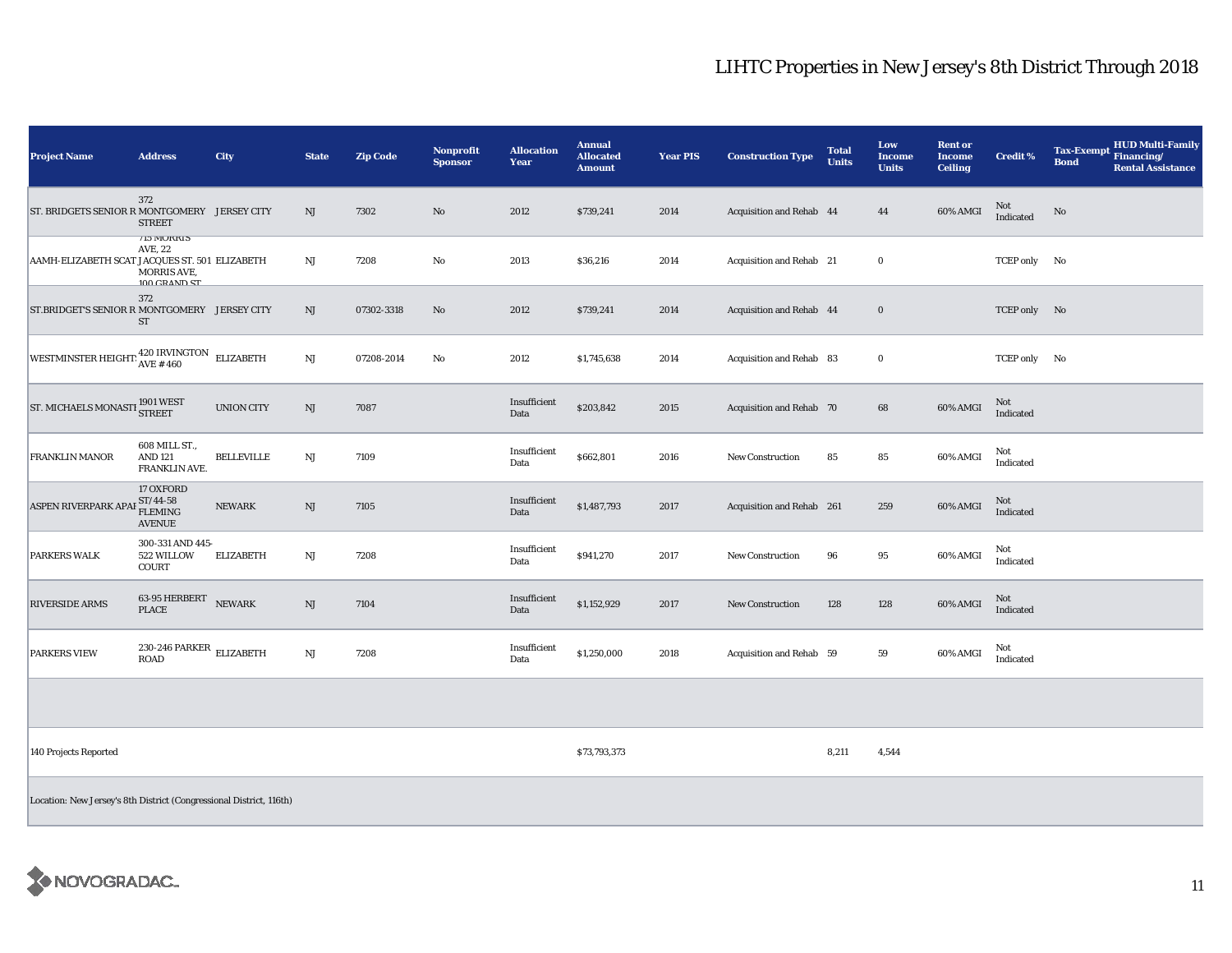| <b>Project Name</b>                                                            | <b>Address</b>                                                     | City              | <b>State</b> | <b>Zip Code</b> | <b>Nonprofit</b><br><b>Sponsor</b> | <b>Allocation</b><br>Year | <b>Annual</b><br><b>Allocated</b><br><b>Amount</b> | <b>Year PIS</b> | <b>Construction Type</b>  | <b>Total</b><br><b>Units</b> | Low<br><b>Income</b><br><b>Units</b> | <b>Rent or</b><br><b>Income</b><br><b>Ceiling</b> | <b>Credit %</b>         | <b>HUD Multi-Family</b><br>Tax-Exempt Financing/<br><b>Bond</b><br><b>Rental Assistance</b> |
|--------------------------------------------------------------------------------|--------------------------------------------------------------------|-------------------|--------------|-----------------|------------------------------------|---------------------------|----------------------------------------------------|-----------------|---------------------------|------------------------------|--------------------------------------|---------------------------------------------------|-------------------------|---------------------------------------------------------------------------------------------|
| ST. BRIDGETS SENIOR R MONTGOMERY JERSEY CITY                                   | 372<br><b>STREET</b>                                               |                   | NJ           | 7302            | $\rm No$                           | 2012                      | \$739,241                                          | 2014            | Acquisition and Rehab 44  |                              | 44                                   | 60% AMGI                                          | Not<br>Indicated        | No                                                                                          |
| AAMH-ELIZABETH SCAT JACQUES ST. 501 ELIZABETH                                  | <b>113 MURKIS</b><br>AVE, 22<br><b>MORRIS AVE.</b><br>100 CRAND ST |                   | NJ           | 7208            | $\rm No$                           | 2013                      | \$36,216                                           | 2014            | Acquisition and Rehab 21  |                              | $\bf{0}$                             |                                                   | TCEP only No            |                                                                                             |
| ST.BRIDGET'S SENIOR R MONTGOMERY JERSEY CITY                                   | 372<br>ST                                                          |                   | $\rm{NJ}$    | 07302-3318      | $\rm\thinspace No$                 | 2012                      | \$739,241                                          | 2014            | Acquisition and Rehab 44  |                              | $\bf{0}$                             |                                                   | TCEP only No            |                                                                                             |
| WESTMINSTER HEIGHT: $\frac{420 \text{ IRVINGTON}}{\text{AVE} + 460}$ ELIZABETH |                                                                    |                   | $\rm{NJ}$    | 07208-2014      | No                                 | 2012                      | \$1,745,638                                        | 2014            | Acquisition and Rehab 83  |                              | $\bf{0}$                             |                                                   | TCEP only No            |                                                                                             |
| ST. MICHAELS MONASTI 1901 WEST                                                 |                                                                    | <b>UNION CITY</b> | NJ           | 7087            |                                    | Insufficient<br>Data      | \$203,842                                          | 2015            | Acquisition and Rehab 70  |                              | 68                                   | 60% AMGI                                          | Not<br>Indicated        |                                                                                             |
| <b>FRANKLIN MANOR</b>                                                          | 608 MILL ST.,<br><b>AND 121</b><br>FRANKLIN AVE.                   | <b>BELLEVILLE</b> | NJ           | 7109            |                                    | Insufficient<br>Data      | \$662,801                                          | 2016            | <b>New Construction</b>   | 85                           | 85                                   | 60% AMGI                                          | Not<br>Indicated        |                                                                                             |
| <b>ASPEN RIVERPARK AP.</b>                                                     | 17 OXFORD<br>ST/44-58<br>AF FLEMING<br><b>AVENUE</b>               | <b>NEWARK</b>     | $\rm{NJ}$    | 7105            |                                    | Insufficient<br>Data      | \$1,487,793                                        | 2017            | Acquisition and Rehab 261 |                              | 259                                  | 60% AMGI                                          | Not<br>Indicated        |                                                                                             |
| <b>PARKERS WALK</b>                                                            | 300-331 AND 445-<br>522 WILLOW<br><b>COURT</b>                     | <b>ELIZABETH</b>  | NJ           | 7208            |                                    | Insufficient<br>Data      | \$941,270                                          | 2017            | New Construction          | 96                           | 95                                   | 60% AMGI                                          | Not<br>Indicated        |                                                                                             |
| <b>RIVERSIDE ARMS</b>                                                          | 63-95 HERBERT<br><b>PLACE</b>                                      | <b>NEWARK</b>     | NJ           | 7104            |                                    | Insufficient<br>Data      | \$1,152,929                                        | 2017            | New Construction          | 128                          | 128                                  | 60% AMGI                                          | <b>Not</b><br>Indicated |                                                                                             |
| <b>PARKERS VIEW</b>                                                            | 230-246 PARKER ELIZABETH<br><b>ROAD</b>                            |                   | NJ           | 7208            |                                    | Insufficient<br>Data      | \$1,250,000                                        | 2018            | Acquisition and Rehab 59  |                              | 59                                   | 60% AMGI                                          | Not<br>Indicated        |                                                                                             |
|                                                                                |                                                                    |                   |              |                 |                                    |                           |                                                    |                 |                           |                              |                                      |                                                   |                         |                                                                                             |
| 140 Projects Reported                                                          |                                                                    |                   |              |                 |                                    |                           | \$73,793,373                                       |                 |                           | 8,211                        | 4,544                                |                                                   |                         |                                                                                             |
| Location: New Jersey's 8th District (Congressional District, 116th)            |                                                                    |                   |              |                 |                                    |                           |                                                    |                 |                           |                              |                                      |                                                   |                         |                                                                                             |